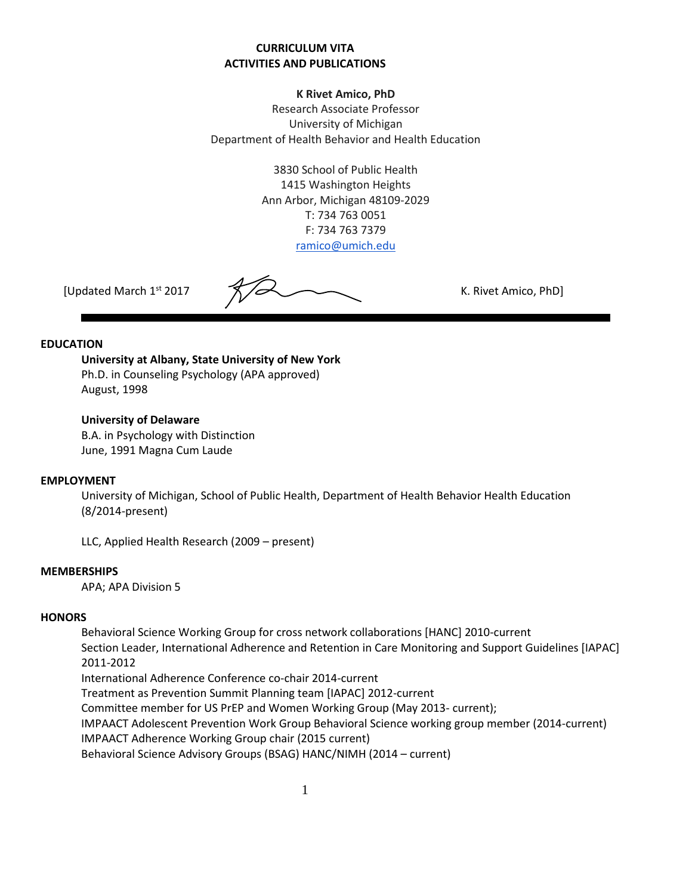## **CURRICULUM VITA ACTIVITIES AND PUBLICATIONS**

### **K Rivet Amico, PhD**

Research Associate Professor University of Michigan Department of Health Behavior and Health Education

> 3830 School of Public Health 1415 Washington Heights Ann Arbor, Michigan 48109-2029 T: 734 763 0051 F: 734 763 7379 [ramico@umich.edu](mailto:ramico@umich.edu)

[Updated March 1st 2017 K. Rivet Amico, PhD]

#### **EDUCATION**

**University at Albany, State University of New York** Ph.D. in Counseling Psychology (APA approved) August, 1998

### **University of Delaware**

B.A. in Psychology with Distinction June, 1991 Magna Cum Laude

### **EMPLOYMENT**

University of Michigan, School of Public Health, Department of Health Behavior Health Education (8/2014-present)

LLC, Applied Health Research (2009 – present)

### **MEMBERSHIPS**

APA; APA Division 5

### **HONORS**

Behavioral Science Working Group for cross network collaborations [HANC] 2010-current Section Leader, International Adherence and Retention in Care Monitoring and Support Guidelines [IAPAC] 2011-2012 International Adherence Conference co-chair 2014-current Treatment as Prevention Summit Planning team [IAPAC] 2012-current Committee member for US PrEP and Women Working Group (May 2013- current); IMPAACT Adolescent Prevention Work Group Behavioral Science working group member (2014-current) IMPAACT Adherence Working Group chair (2015 current) Behavioral Science Advisory Groups (BSAG) HANC/NIMH (2014 – current)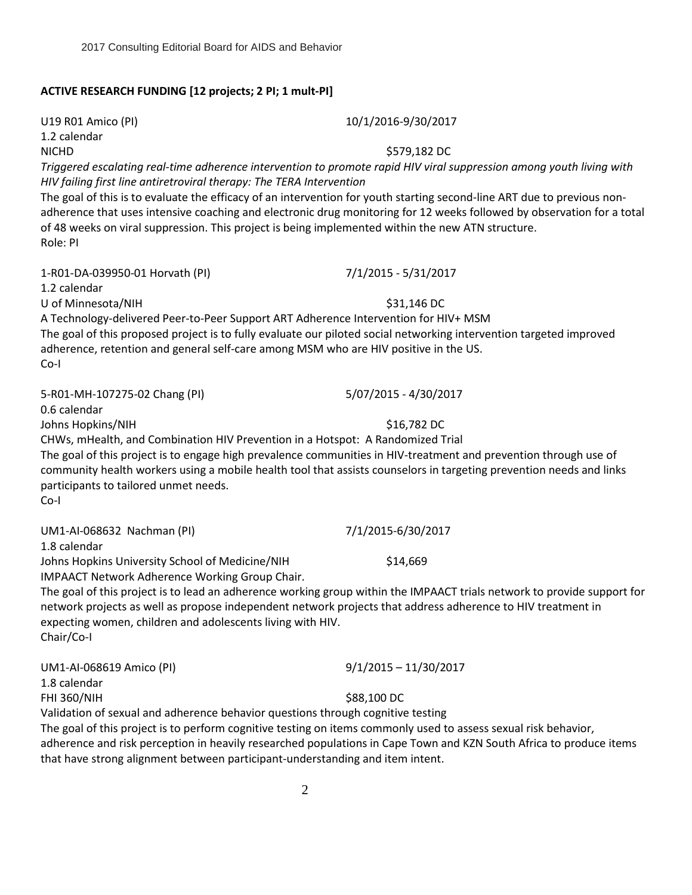## **ACTIVE RESEARCH FUNDING [12 projects; 2 PI; 1 mult-PI]**

U19 R01 Amico (PI) 10/1/2016-9/30/2017 1.2 calendar NICHD \$579,182 DC *Triggered escalating real-time adherence intervention to promote rapid HIV viral suppression among youth living with HIV failing first line antiretroviral therapy: The TERA Intervention* The goal of this is to evaluate the efficacy of an intervention for youth starting second-line ART due to previous nonadherence that uses intensive coaching and electronic drug monitoring for 12 weeks followed by observation for a total of 48 weeks on viral suppression. This project is being implemented within the new ATN structure. Role: PI 1-R01-DA-039950-01 Horvath (PI) 7/1/2015 - 5/31/2017 1.2 calendar U of Minnesota/NIH  $$31,146$  DC A Technology-delivered Peer-to-Peer Support ART Adherence Intervention for HIV+ MSM The goal of this proposed project is to fully evaluate our piloted social networking intervention targeted improved adherence, retention and general self-care among MSM who are HIV positive in the US. Co-I 5-R01-MH-107275-02 Chang (PI) 5/07/2015 - 4/30/2017 0.6 calendar Johns Hopkins/NIH  $$16,782$  DC CHWs, mHealth, and Combination HIV Prevention in a Hotspot: A Randomized Trial The goal of this project is to engage high prevalence communities in HIV-treatment and prevention through use of community health workers using a mobile health tool that assists counselors in targeting prevention needs and links participants to tailored unmet needs. Co-I UM1-AI-068632 Nachman (PI) 7/1/2015-6/30/2017 1.8 calendar Johns Hopkins University School of Medicine/NIH \$14,669 IMPAACT Network Adherence Working Group Chair. The goal of this project is to lead an adherence working group within the IMPAACT trials network to provide support for network projects as well as propose independent network projects that address adherence to HIV treatment in expecting women, children and adolescents living with HIV. Chair/Co-I UM1-AI-068619 Amico (PI) 9/1/2015 – 11/30/2017 1.8 calendar FHI 360/NIH \$88,100 DC Validation of sexual and adherence behavior questions through cognitive testing The goal of this project is to perform cognitive testing on items commonly used to assess sexual risk behavior, adherence and risk perception in heavily researched populations in Cape Town and KZN South Africa to produce items that have strong alignment between participant-understanding and item intent. 2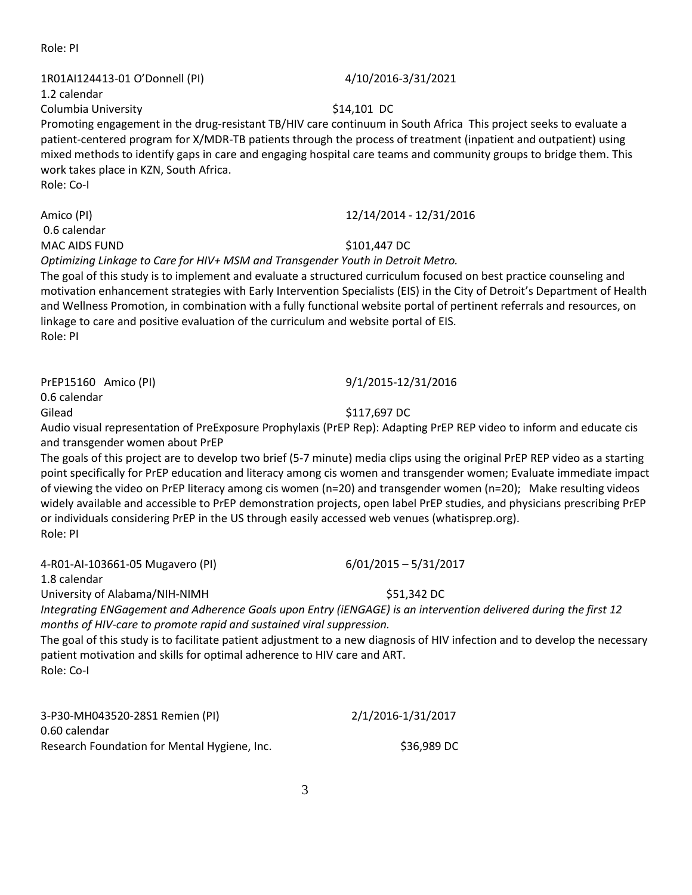3

Role: PI

# 1R01AI124413-01 O'Donnell (PI) 4/10/2016-3/31/2021

1.2 calendar

Promoting engagement in the drug-resistant TB/HIV care continuum in South Africa This project seeks to evaluate a patient-centered program for X/MDR-TB patients through the process of treatment (inpatient and outpatient) using mixed methods to identify gaps in care and engaging hospital care teams and community groups to bridge them. This work takes place in KZN, South Africa. Role: Co-I

0.6 calendar

MAC AIDS FUND \$101,447 DC *Optimizing Linkage to Care for HIV+ MSM and Transgender Youth in Detroit Metro.*

The goal of this study is to implement and evaluate a structured curriculum focused on best practice counseling and motivation enhancement strategies with Early Intervention Specialists (EIS) in the City of Detroit's Department of Health and Wellness Promotion, in combination with a fully functional website portal of pertinent referrals and resources, on linkage to care and positive evaluation of the curriculum and website portal of EIS. Role: PI

PrEP15160 Amico (PI) 9/1/2015-12/31/2016

0.6 calendar

Audio visual representation of PreExposure Prophylaxis (PrEP Rep): Adapting PrEP REP video to inform and educate cis and transgender women about PrEP

The goals of this project are to develop two brief (5-7 minute) media clips using the original PrEP REP video as a starting point specifically for PrEP education and literacy among cis women and transgender women; Evaluate immediate impact of viewing the video on PrEP literacy among cis women (n=20) and transgender women (n=20); Make resulting videos widely available and accessible to PrEP demonstration projects, open label PrEP studies, and physicians prescribing PrEP or individuals considering PrEP in the US through easily accessed web venues (whatisprep.org). Role: PI

4-R01-AI-103661-05 Mugavero (PI) 6/01/2015 – 5/31/2017

1.8 calendar

University of Alabama/NIH-NIMH **Example 2018** S51,342 DC

*Integrating ENGagement and Adherence Goals upon Entry (iENGAGE) is an intervention delivered during the first 12 months of HIV-care to promote rapid and sustained viral suppression.*

The goal of this study is to facilitate patient adjustment to a new diagnosis of HIV infection and to develop the necessary patient motivation and skills for optimal adherence to HIV care and ART. Role: Co-I

3-P30-MH043520-28S1 Remien (PI) 2/1/2016-1/31/2017 0.60 calendar Research Foundation for Mental Hygiene, Inc. \$36,989 DC

# Columbia University **Example 2018** S14,101 DC

Amico (PI) 12/14/2014 - 12/31/2016

Gilead \$117,697 DC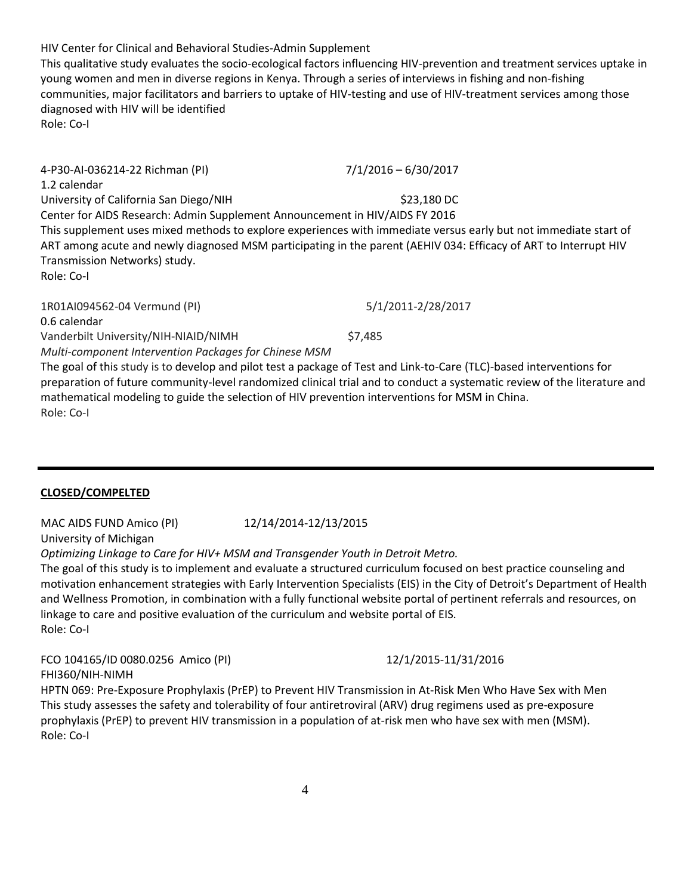HIV Center for Clinical and Behavioral Studies-Admin Supplement This qualitative study evaluates the socio-ecological factors influencing HIV-prevention and treatment services uptake in young women and men in diverse regions in Kenya. Through a series of interviews in fishing and non-fishing communities, major facilitators and barriers to uptake of HIV-testing and use of HIV-treatment services among those diagnosed with HIV will be identified Role: Co-I

| 4-P30-Al-036214-22 Richman (PI)                                                                                                                                                                                                                                                                                                                      | $7/1/2016 - 6/30/2017$ |                              |                    |
|------------------------------------------------------------------------------------------------------------------------------------------------------------------------------------------------------------------------------------------------------------------------------------------------------------------------------------------------------|------------------------|------------------------------|--------------------|
| 1.2 calendar                                                                                                                                                                                                                                                                                                                                         |                        |                              |                    |
| University of California San Diego/NIH                                                                                                                                                                                                                                                                                                               | \$23,180 DC            |                              |                    |
| Center for AIDS Research: Admin Supplement Announcement in HIV/AIDS FY 2016<br>This supplement uses mixed methods to explore experiences with immediate versus early but not immediate start of<br>ART among acute and newly diagnosed MSM participating in the parent (AEHIV 034: Efficacy of ART to Interrupt HIV<br>Transmission Networks) study. |                        |                              |                    |
|                                                                                                                                                                                                                                                                                                                                                      |                        | Role: Co-I                   |                    |
|                                                                                                                                                                                                                                                                                                                                                      |                        | 1R01AI094562-04 Vermund (PI) | 5/1/2011-2/28/2017 |
|                                                                                                                                                                                                                                                                                                                                                      |                        | 0.6 calendar                 |                    |

Vanderbilt University/NIH-NIAID/NIMH\$7,485

*Multi-component Intervention Packages for Chinese MSM* 

The goal of this study is to develop and pilot test a package of Test and Link-to-Care (TLC)-based interventions for preparation of future community-level randomized clinical trial and to conduct a systematic review of the literature and mathematical modeling to guide the selection of HIV prevention interventions for MSM in China. Role: Co-I

**CLOSED/COMPELTED**

MAC AIDS FUND Amico (PI) 12/14/2014-12/13/2015 University of Michigan

*Optimizing Linkage to Care for HIV+ MSM and Transgender Youth in Detroit Metro.*

The goal of this study is to implement and evaluate a structured curriculum focused on best practice counseling and motivation enhancement strategies with Early Intervention Specialists (EIS) in the City of Detroit's Department of Health and Wellness Promotion, in combination with a fully functional website portal of pertinent referrals and resources, on linkage to care and positive evaluation of the curriculum and website portal of EIS. Role: Co-I

FCO 104165/ID 0080.0256 Amico (PI) 12/1/2015-11/31/2016 FHI360/NIH-NIMH

HPTN 069: Pre-Exposure Prophylaxis (PrEP) to Prevent HIV Transmission in At-Risk Men Who Have Sex with Men This study assesses the safety and tolerability of four antiretroviral (ARV) drug regimens used as pre-exposure prophylaxis (PrEP) to prevent HIV transmission in a population of at-risk men who have sex with men (MSM). Role: Co-I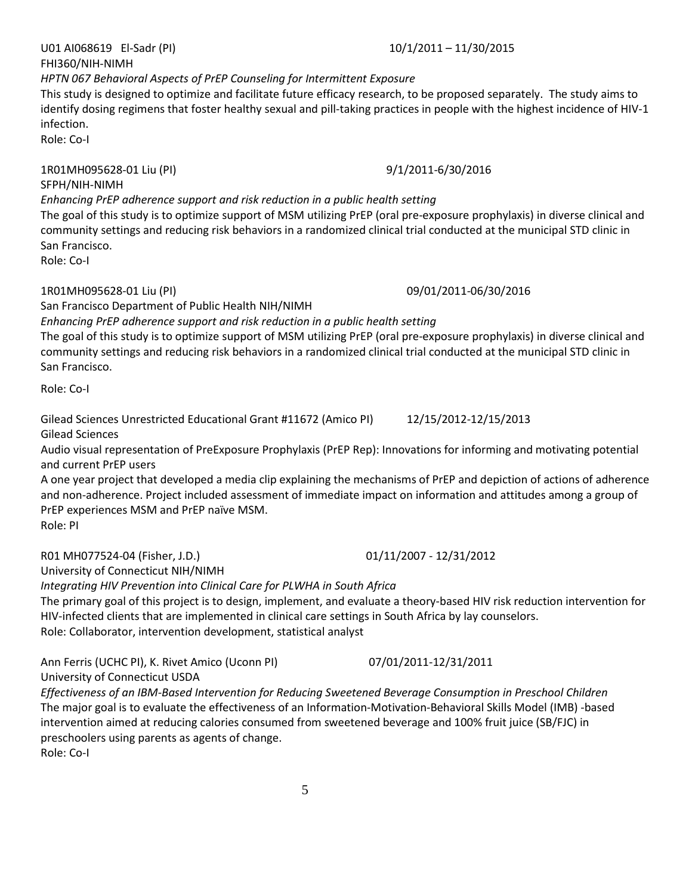U01 AI068619 El-Sadr (PI) 10/1/2011 – 11/30/2015

# *HPTN 067 Behavioral Aspects of PrEP Counseling for Intermittent Exposure*

This study is designed to optimize and facilitate future efficacy research, to be proposed separately. The study aims to identify dosing regimens that foster healthy sexual and pill-taking practices in people with the highest incidence of HIV-1 infection.

Role: Co-I

# 1R01MH095628-01 Liu (PI) 9/1/2011-6/30/2016

# SFPH/NIH-NIMH

FHI360/NIH-NIMH

*Enhancing PrEP adherence support and risk reduction in a public health setting* The goal of this study is to optimize support of MSM utilizing PrEP (oral pre-exposure prophylaxis) in diverse clinical and community settings and reducing risk behaviors in a randomized clinical trial conducted at the municipal STD clinic in San Francisco.

Role: Co-I

# 1R01MH095628-01 Liu (PI) 09/01/2011-06/30/2016

San Francisco Department of Public Health NIH/NIMH

*Enhancing PrEP adherence support and risk reduction in a public health setting*

The goal of this study is to optimize support of MSM utilizing PrEP (oral pre-exposure prophylaxis) in diverse clinical and community settings and reducing risk behaviors in a randomized clinical trial conducted at the municipal STD clinic in San Francisco.

Role: Co-I

Gilead Sciences Unrestricted Educational Grant #11672 (Amico PI) 12/15/2012-12/15/2013 Gilead Sciences

Audio visual representation of PreExposure Prophylaxis (PrEP Rep): Innovations for informing and motivating potential and current PrEP users

A one year project that developed a media clip explaining the mechanisms of PrEP and depiction of actions of adherence and non-adherence. Project included assessment of immediate impact on information and attitudes among a group of PrEP experiences MSM and PrEP naïve MSM. Role: PI

University of Connecticut NIH/NIMH

*Integrating HIV Prevention into Clinical Care for PLWHA in South Africa*

The primary goal of this project is to design, implement, and evaluate a theory-based HIV risk reduction intervention for HIV-infected clients that are implemented in clinical care settings in South Africa by lay counselors. Role: Collaborator, intervention development, statistical analyst

Ann Ferris (UCHC PI), K. Rivet Amico (Uconn PI) 07/01/2011-12/31/2011 University of Connecticut USDA

*Effectiveness of an IBM-Based Intervention for Reducing Sweetened Beverage Consumption in Preschool Children* The major goal is to evaluate the effectiveness of an Information-Motivation-Behavioral Skills Model (IMB) -based intervention aimed at reducing calories consumed from sweetened beverage and 100% fruit juice (SB/FJC) in preschoolers using parents as agents of change.

Role: Co-I

R01 MH077524-04 (Fisher, J.D.) 01/11/2007 - 12/31/2012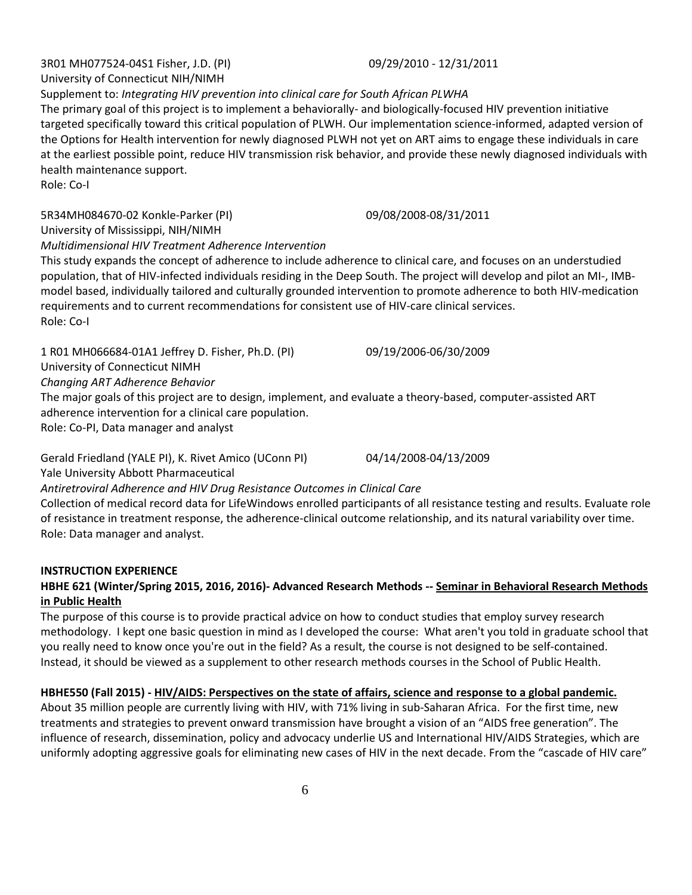University of Connecticut NIH/NIMH Supplement to: *Integrating HIV prevention into clinical care for South African PLWHA*

The primary goal of this project is to implement a behaviorally- and biologically-focused HIV prevention initiative targeted specifically toward this critical population of PLWH. Our implementation science-informed, adapted version of the Options for Health intervention for newly diagnosed PLWH not yet on ART aims to engage these individuals in care at the earliest possible point, reduce HIV transmission risk behavior, and provide these newly diagnosed individuals with health maintenance support.

Role: Co-I

5R34MH084670-02 Konkle-Parker (PI) 09/08/2008-08/31/2011

University of Mississippi, NIH/NIMH

*Multidimensional HIV Treatment Adherence Intervention*

This study expands the concept of adherence to include adherence to clinical care, and focuses on an understudied population, that of HIV-infected individuals residing in the Deep South. The project will develop and pilot an MI-, IMBmodel based, individually tailored and culturally grounded intervention to promote adherence to both HIV-medication requirements and to current recommendations for consistent use of HIV-care clinical services. Role: Co-I

1 R01 MH066684-01A1 Jeffrey D. Fisher, Ph.D. (PI) 09/19/2006-06/30/2009 University of Connecticut NIMH

*Changing ART Adherence Behavior* 

The major goals of this project are to design, implement, and evaluate a theory-based, computer-assisted ART adherence intervention for a clinical care population.

Role: Co-PI, Data manager and analyst

Gerald Friedland (YALE PI), K. Rivet Amico (UConn PI) 04/14/2008-04/13/2009 Yale University Abbott Pharmaceutical

*Antiretroviral Adherence and HIV Drug Resistance Outcomes in Clinical Care* Collection of medical record data for LifeWindows enrolled participants of all resistance testing and results. Evaluate role of resistance in treatment response, the adherence-clinical outcome relationship, and its natural variability over time. Role: Data manager and analyst.

# **INSTRUCTION EXPERIENCE**

# **HBHE 621 (Winter/Spring 2015, 2016, 2016)- Advanced Research Methods -- Seminar in Behavioral Research Methods in Public Health**

The purpose of this course is to provide practical advice on how to conduct studies that employ survey research methodology. I kept one basic question in mind as I developed the course: What aren't you told in graduate school that you really need to know once you're out in the field? As a result, the course is not designed to be self-contained. Instead, it should be viewed as a supplement to other research methods courses in the School of Public Health.

# **HBHE550 (Fall 2015) - HIV/AIDS: Perspectives on the state of affairs, science and response to a global pandemic.**

About 35 million people are currently living with HIV, with 71% living in sub-Saharan Africa. For the first time, new treatments and strategies to prevent onward transmission have brought a vision of an "AIDS free generation". The influence of research, dissemination, policy and advocacy underlie US and International HIV/AIDS Strategies, which are uniformly adopting aggressive goals for eliminating new cases of HIV in the next decade. From the "cascade of HIV care"

3R01 MH077524-04S1 Fisher, J.D. (PI) 09/29/2010 - 12/31/2011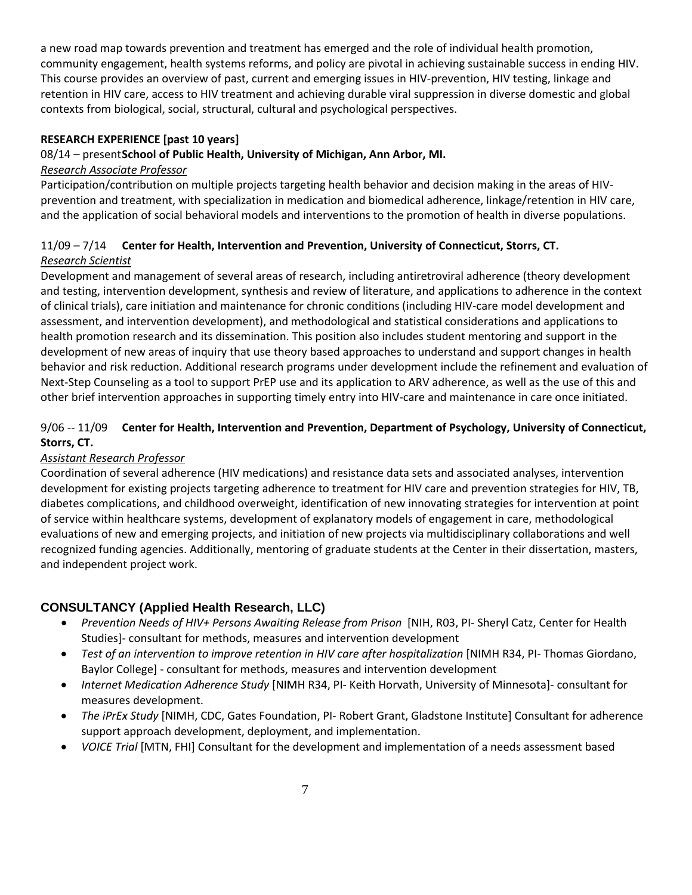a new road map towards prevention and treatment has emerged and the role of individual health promotion, community engagement, health systems reforms, and policy are pivotal in achieving sustainable success in ending HIV. This course provides an overview of past, current and emerging issues in HIV-prevention, HIV testing, linkage and retention in HIV care, access to HIV treatment and achieving durable viral suppression in diverse domestic and global contexts from biological, social, structural, cultural and psychological perspectives.

## **RESEARCH EXPERIENCE [past 10 years]**

## 08/14 – present**School of Public Health, University of Michigan, Ann Arbor, MI.**

## *Research Associate Professor*

Participation/contribution on multiple projects targeting health behavior and decision making in the areas of HIVprevention and treatment, with specialization in medication and biomedical adherence, linkage/retention in HIV care, and the application of social behavioral models and interventions to the promotion of health in diverse populations.

# 11/09 – 7/14 **Center for Health, Intervention and Prevention, University of Connecticut, Storrs, CT.** *Research Scientist*

Development and management of several areas of research, including antiretroviral adherence (theory development and testing, intervention development, synthesis and review of literature, and applications to adherence in the context of clinical trials), care initiation and maintenance for chronic conditions (including HIV-care model development and assessment, and intervention development), and methodological and statistical considerations and applications to health promotion research and its dissemination. This position also includes student mentoring and support in the development of new areas of inquiry that use theory based approaches to understand and support changes in health behavior and risk reduction. Additional research programs under development include the refinement and evaluation of Next-Step Counseling as a tool to support PrEP use and its application to ARV adherence, as well as the use of this and other brief intervention approaches in supporting timely entry into HIV-care and maintenance in care once initiated.

# 9/06 -- 11/09 **Center for Health, Intervention and Prevention, Department of Psychology, University of Connecticut, Storrs, CT.**

# *Assistant Research Professor*

Coordination of several adherence (HIV medications) and resistance data sets and associated analyses, intervention development for existing projects targeting adherence to treatment for HIV care and prevention strategies for HIV, TB, diabetes complications, and childhood overweight, identification of new innovating strategies for intervention at point of service within healthcare systems, development of explanatory models of engagement in care, methodological evaluations of new and emerging projects, and initiation of new projects via multidisciplinary collaborations and well recognized funding agencies. Additionally, mentoring of graduate students at the Center in their dissertation, masters, and independent project work.

# **CONSULTANCY (Applied Health Research, LLC)**

- *Prevention Needs of HIV+ Persons Awaiting Release from Prison* [NIH, R03, PI- Sheryl Catz, Center for Health Studies]- consultant for methods, measures and intervention development
- *Test of an intervention to improve retention in HIV care after hospitalization* [NIMH R34, PI- Thomas Giordano, Baylor College] - consultant for methods, measures and intervention development
- *Internet Medication Adherence Study* [NIMH R34, PI- Keith Horvath, University of Minnesota]- consultant for measures development.
- *The iPrEx Study* [NIMH, CDC, Gates Foundation, PI- Robert Grant, Gladstone Institute] Consultant for adherence support approach development, deployment, and implementation.
- *VOICE Trial* [MTN, FHI] Consultant for the development and implementation of a needs assessment based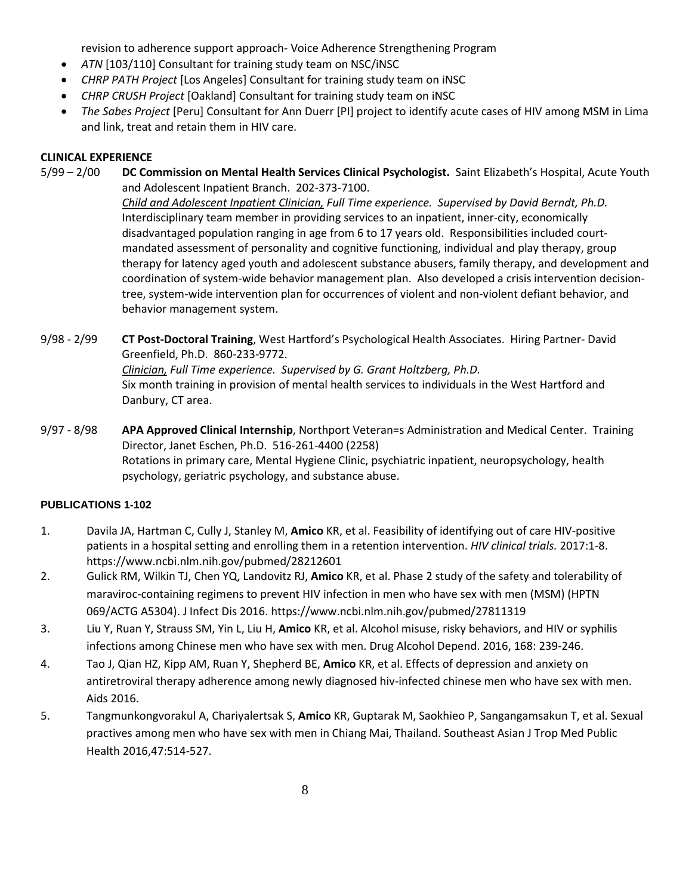revision to adherence support approach- Voice Adherence Strengthening Program

- *ATN* [103/110] Consultant for training study team on NSC/iNSC
- *CHRP PATH Project* [Los Angeles] Consultant for training study team on iNSC
- *CHRP CRUSH Project* [Oakland] Consultant for training study team on iNSC
- *The Sabes Project* [Peru] Consultant for Ann Duerr [PI] project to identify acute cases of HIV among MSM in Lima and link, treat and retain them in HIV care.

## **CLINICAL EXPERIENCE**

- 5/99 2/00 **DC Commission on Mental Health Services Clinical Psychologist.** Saint Elizabeth's Hospital, Acute Youth and Adolescent Inpatient Branch. 202-373-7100. *Child and Adolescent Inpatient Clinician, Full Time experience. Supervised by David Berndt, Ph.D.* Interdisciplinary team member in providing services to an inpatient, inner-city, economically disadvantaged population ranging in age from 6 to 17 years old. Responsibilities included courtmandated assessment of personality and cognitive functioning, individual and play therapy, group therapy for latency aged youth and adolescent substance abusers, family therapy, and development and coordination of system-wide behavior management plan. Also developed a crisis intervention decisiontree, system-wide intervention plan for occurrences of violent and non-violent defiant behavior, and behavior management system.
- 9/98 2/99 **CT Post-Doctoral Training**, West Hartford's Psychological Health Associates. Hiring Partner- David Greenfield, Ph.D. 860-233-9772. *Clinician, Full Time experience. Supervised by G. Grant Holtzberg, Ph.D.* Six month training in provision of mental health services to individuals in the West Hartford and Danbury, CT area.
- 9/97 8/98 **APA Approved Clinical Internship**, Northport Veteran=s Administration and Medical Center. Training Director, Janet Eschen, Ph.D. 516-261-4400 (2258) Rotations in primary care, Mental Hygiene Clinic, psychiatric inpatient, neuropsychology, health psychology, geriatric psychology, and substance abuse.

## **PUBLICATIONS 1-102**

- 1. Davila JA, Hartman C, Cully J, Stanley M, **Amico** KR, et al. Feasibility of identifying out of care HIV-positive patients in a hospital setting and enrolling them in a retention intervention. *HIV clinical trials.* 2017:1-8. https://www.ncbi.nlm.nih.gov/pubmed/28212601
- 2. Gulick RM, Wilkin TJ, Chen YQ, Landovitz RJ, **Amico** KR, et al. Phase 2 study of the safety and tolerability of maraviroc-containing regimens to prevent HIV infection in men who have sex with men (MSM) (HPTN 069/ACTG A5304). J Infect Dis 2016. https://www.ncbi.nlm.nih.gov/pubmed/27811319
- 3. Liu Y, Ruan Y, Strauss SM, Yin L, Liu H, **Amico** KR, et al. Alcohol misuse, risky behaviors, and HIV or syphilis infections among Chinese men who have sex with men. Drug Alcohol Depend. 2016, 168: 239-246.
- 4. Tao J, Qian HZ, Kipp AM, Ruan Y, Shepherd BE, **Amico** KR, et al. Effects of depression and anxiety on antiretroviral therapy adherence among newly diagnosed hiv-infected chinese men who have sex with men. Aids 2016.
- 5. Tangmunkongvorakul A, Chariyalertsak S, **Amico** KR, Guptarak M, Saokhieo P, Sangangamsakun T, et al. Sexual practives among men who have sex with men in Chiang Mai, Thailand. Southeast Asian J Trop Med Public Health 2016,47:514-527.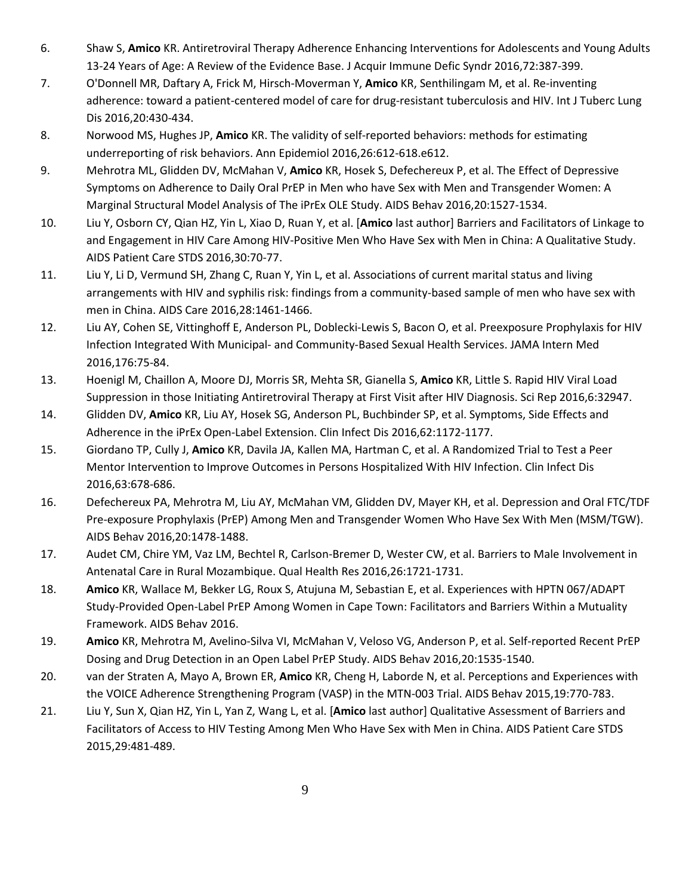- 6. Shaw S, **Amico** KR. Antiretroviral Therapy Adherence Enhancing Interventions for Adolescents and Young Adults 13-24 Years of Age: A Review of the Evidence Base. J Acquir Immune Defic Syndr 2016,72:387-399.
- 7. O'Donnell MR, Daftary A, Frick M, Hirsch-Moverman Y, **Amico** KR, Senthilingam M, et al. Re-inventing adherence: toward a patient-centered model of care for drug-resistant tuberculosis and HIV. Int J Tuberc Lung Dis 2016,20:430-434.
- 8. Norwood MS, Hughes JP, **Amico** KR. The validity of self-reported behaviors: methods for estimating underreporting of risk behaviors. Ann Epidemiol 2016,26:612-618.e612.
- 9. Mehrotra ML, Glidden DV, McMahan V, **Amico** KR, Hosek S, Defechereux P, et al. The Effect of Depressive Symptoms on Adherence to Daily Oral PrEP in Men who have Sex with Men and Transgender Women: A Marginal Structural Model Analysis of The iPrEx OLE Study. AIDS Behav 2016,20:1527-1534.
- 10. Liu Y, Osborn CY, Qian HZ, Yin L, Xiao D, Ruan Y, et al. [**Amico** last author] Barriers and Facilitators of Linkage to and Engagement in HIV Care Among HIV-Positive Men Who Have Sex with Men in China: A Qualitative Study. AIDS Patient Care STDS 2016,30:70-77.
- 11. Liu Y, Li D, Vermund SH, Zhang C, Ruan Y, Yin L, et al. Associations of current marital status and living arrangements with HIV and syphilis risk: findings from a community-based sample of men who have sex with men in China. AIDS Care 2016,28:1461-1466.
- 12. Liu AY, Cohen SE, Vittinghoff E, Anderson PL, Doblecki-Lewis S, Bacon O, et al. Preexposure Prophylaxis for HIV Infection Integrated With Municipal- and Community-Based Sexual Health Services. JAMA Intern Med 2016,176:75-84.
- 13. Hoenigl M, Chaillon A, Moore DJ, Morris SR, Mehta SR, Gianella S, **Amico** KR, Little S. Rapid HIV Viral Load Suppression in those Initiating Antiretroviral Therapy at First Visit after HIV Diagnosis. Sci Rep 2016,6:32947.
- 14. Glidden DV, **Amico** KR, Liu AY, Hosek SG, Anderson PL, Buchbinder SP, et al. Symptoms, Side Effects and Adherence in the iPrEx Open-Label Extension. Clin Infect Dis 2016,62:1172-1177.
- 15. Giordano TP, Cully J, **Amico** KR, Davila JA, Kallen MA, Hartman C, et al. A Randomized Trial to Test a Peer Mentor Intervention to Improve Outcomes in Persons Hospitalized With HIV Infection. Clin Infect Dis 2016,63:678-686.
- 16. Defechereux PA, Mehrotra M, Liu AY, McMahan VM, Glidden DV, Mayer KH, et al. Depression and Oral FTC/TDF Pre-exposure Prophylaxis (PrEP) Among Men and Transgender Women Who Have Sex With Men (MSM/TGW). AIDS Behav 2016,20:1478-1488.
- 17. Audet CM, Chire YM, Vaz LM, Bechtel R, Carlson-Bremer D, Wester CW, et al. Barriers to Male Involvement in Antenatal Care in Rural Mozambique. Qual Health Res 2016,26:1721-1731.
- 18. **Amico** KR, Wallace M, Bekker LG, Roux S, Atujuna M, Sebastian E, et al. Experiences with HPTN 067/ADAPT Study-Provided Open-Label PrEP Among Women in Cape Town: Facilitators and Barriers Within a Mutuality Framework. AIDS Behav 2016.
- 19. **Amico** KR, Mehrotra M, Avelino-Silva VI, McMahan V, Veloso VG, Anderson P, et al. Self-reported Recent PrEP Dosing and Drug Detection in an Open Label PrEP Study. AIDS Behav 2016,20:1535-1540.
- 20. van der Straten A, Mayo A, Brown ER, **Amico** KR, Cheng H, Laborde N, et al. Perceptions and Experiences with the VOICE Adherence Strengthening Program (VASP) in the MTN-003 Trial. AIDS Behav 2015,19:770-783.
- 21. Liu Y, Sun X, Qian HZ, Yin L, Yan Z, Wang L, et al. [**Amico** last author] Qualitative Assessment of Barriers and Facilitators of Access to HIV Testing Among Men Who Have Sex with Men in China. AIDS Patient Care STDS 2015,29:481-489.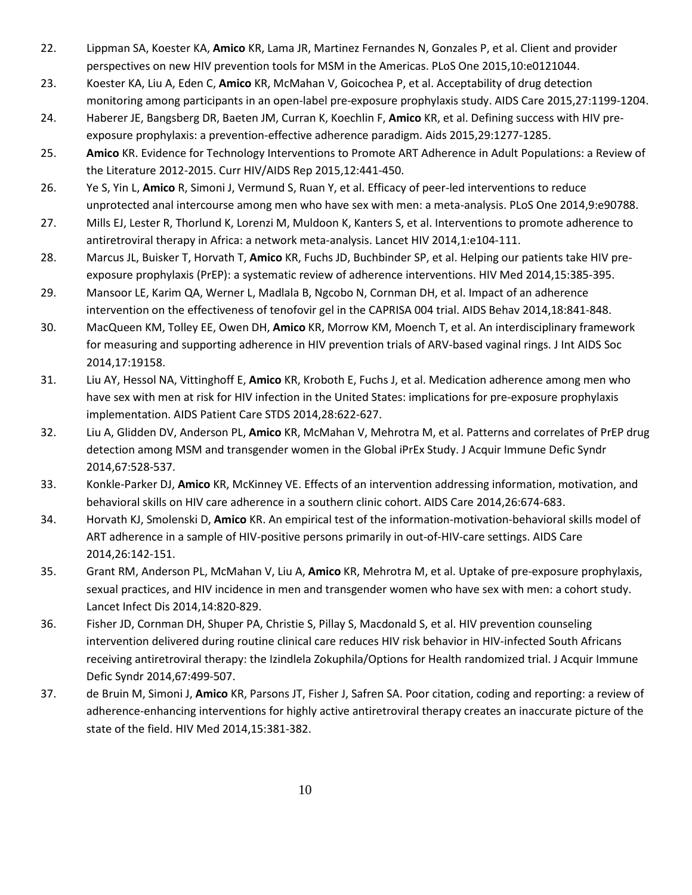- 22. Lippman SA, Koester KA, **Amico** KR, Lama JR, Martinez Fernandes N, Gonzales P, et al. Client and provider perspectives on new HIV prevention tools for MSM in the Americas. PLoS One 2015,10:e0121044.
- 23. Koester KA, Liu A, Eden C, **Amico** KR, McMahan V, Goicochea P, et al. Acceptability of drug detection monitoring among participants in an open-label pre-exposure prophylaxis study. AIDS Care 2015,27:1199-1204.
- 24. Haberer JE, Bangsberg DR, Baeten JM, Curran K, Koechlin F, **Amico** KR, et al. Defining success with HIV preexposure prophylaxis: a prevention-effective adherence paradigm. Aids 2015,29:1277-1285.
- 25. **Amico** KR. Evidence for Technology Interventions to Promote ART Adherence in Adult Populations: a Review of the Literature 2012-2015. Curr HIV/AIDS Rep 2015,12:441-450.
- 26. Ye S, Yin L, **Amico** R, Simoni J, Vermund S, Ruan Y, et al. Efficacy of peer-led interventions to reduce unprotected anal intercourse among men who have sex with men: a meta-analysis. PLoS One 2014,9:e90788.
- 27. Mills EJ, Lester R, Thorlund K, Lorenzi M, Muldoon K, Kanters S, et al. Interventions to promote adherence to antiretroviral therapy in Africa: a network meta-analysis. Lancet HIV 2014,1:e104-111.
- 28. Marcus JL, Buisker T, Horvath T, **Amico** KR, Fuchs JD, Buchbinder SP, et al. Helping our patients take HIV preexposure prophylaxis (PrEP): a systematic review of adherence interventions. HIV Med 2014,15:385-395.
- 29. Mansoor LE, Karim QA, Werner L, Madlala B, Ngcobo N, Cornman DH, et al. Impact of an adherence intervention on the effectiveness of tenofovir gel in the CAPRISA 004 trial. AIDS Behav 2014,18:841-848.
- 30. MacQueen KM, Tolley EE, Owen DH, **Amico** KR, Morrow KM, Moench T, et al. An interdisciplinary framework for measuring and supporting adherence in HIV prevention trials of ARV-based vaginal rings. J Int AIDS Soc 2014,17:19158.
- 31. Liu AY, Hessol NA, Vittinghoff E, **Amico** KR, Kroboth E, Fuchs J, et al. Medication adherence among men who have sex with men at risk for HIV infection in the United States: implications for pre-exposure prophylaxis implementation. AIDS Patient Care STDS 2014,28:622-627.
- 32. Liu A, Glidden DV, Anderson PL, **Amico** KR, McMahan V, Mehrotra M, et al. Patterns and correlates of PrEP drug detection among MSM and transgender women in the Global iPrEx Study. J Acquir Immune Defic Syndr 2014,67:528-537.
- 33. Konkle-Parker DJ, **Amico** KR, McKinney VE. Effects of an intervention addressing information, motivation, and behavioral skills on HIV care adherence in a southern clinic cohort. AIDS Care 2014,26:674-683.
- 34. Horvath KJ, Smolenski D, **Amico** KR. An empirical test of the information-motivation-behavioral skills model of ART adherence in a sample of HIV-positive persons primarily in out-of-HIV-care settings. AIDS Care 2014,26:142-151.
- 35. Grant RM, Anderson PL, McMahan V, Liu A, **Amico** KR, Mehrotra M, et al. Uptake of pre-exposure prophylaxis, sexual practices, and HIV incidence in men and transgender women who have sex with men: a cohort study. Lancet Infect Dis 2014,14:820-829.
- 36. Fisher JD, Cornman DH, Shuper PA, Christie S, Pillay S, Macdonald S, et al. HIV prevention counseling intervention delivered during routine clinical care reduces HIV risk behavior in HIV-infected South Africans receiving antiretroviral therapy: the Izindlela Zokuphila/Options for Health randomized trial. J Acquir Immune Defic Syndr 2014,67:499-507.
- 37. de Bruin M, Simoni J, **Amico** KR, Parsons JT, Fisher J, Safren SA. Poor citation, coding and reporting: a review of adherence-enhancing interventions for highly active antiretroviral therapy creates an inaccurate picture of the state of the field. HIV Med 2014,15:381-382.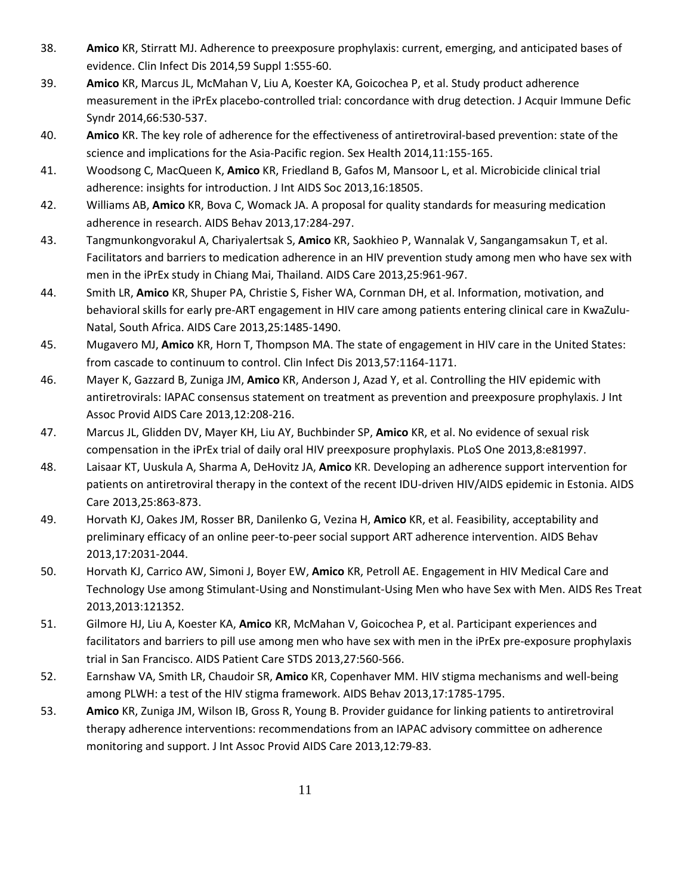- 38. **Amico** KR, Stirratt MJ. Adherence to preexposure prophylaxis: current, emerging, and anticipated bases of evidence. Clin Infect Dis 2014,59 Suppl 1:S55-60.
- 39. **Amico** KR, Marcus JL, McMahan V, Liu A, Koester KA, Goicochea P, et al. Study product adherence measurement in the iPrEx placebo-controlled trial: concordance with drug detection. J Acquir Immune Defic Syndr 2014,66:530-537.
- 40. **Amico** KR. The key role of adherence for the effectiveness of antiretroviral-based prevention: state of the science and implications for the Asia-Pacific region. Sex Health 2014,11:155-165.
- 41. Woodsong C, MacQueen K, **Amico** KR, Friedland B, Gafos M, Mansoor L, et al. Microbicide clinical trial adherence: insights for introduction. J Int AIDS Soc 2013,16:18505.
- 42. Williams AB, **Amico** KR, Bova C, Womack JA. A proposal for quality standards for measuring medication adherence in research. AIDS Behav 2013,17:284-297.
- 43. Tangmunkongvorakul A, Chariyalertsak S, **Amico** KR, Saokhieo P, Wannalak V, Sangangamsakun T, et al. Facilitators and barriers to medication adherence in an HIV prevention study among men who have sex with men in the iPrEx study in Chiang Mai, Thailand. AIDS Care 2013,25:961-967.
- 44. Smith LR, **Amico** KR, Shuper PA, Christie S, Fisher WA, Cornman DH, et al. Information, motivation, and behavioral skills for early pre-ART engagement in HIV care among patients entering clinical care in KwaZulu-Natal, South Africa. AIDS Care 2013,25:1485-1490.
- 45. Mugavero MJ, **Amico** KR, Horn T, Thompson MA. The state of engagement in HIV care in the United States: from cascade to continuum to control. Clin Infect Dis 2013,57:1164-1171.
- 46. Mayer K, Gazzard B, Zuniga JM, **Amico** KR, Anderson J, Azad Y, et al. Controlling the HIV epidemic with antiretrovirals: IAPAC consensus statement on treatment as prevention and preexposure prophylaxis. J Int Assoc Provid AIDS Care 2013,12:208-216.
- 47. Marcus JL, Glidden DV, Mayer KH, Liu AY, Buchbinder SP, **Amico** KR, et al. No evidence of sexual risk compensation in the iPrEx trial of daily oral HIV preexposure prophylaxis. PLoS One 2013,8:e81997.
- 48. Laisaar KT, Uuskula A, Sharma A, DeHovitz JA, **Amico** KR. Developing an adherence support intervention for patients on antiretroviral therapy in the context of the recent IDU-driven HIV/AIDS epidemic in Estonia. AIDS Care 2013,25:863-873.
- 49. Horvath KJ, Oakes JM, Rosser BR, Danilenko G, Vezina H, **Amico** KR, et al. Feasibility, acceptability and preliminary efficacy of an online peer-to-peer social support ART adherence intervention. AIDS Behav 2013,17:2031-2044.
- 50. Horvath KJ, Carrico AW, Simoni J, Boyer EW, **Amico** KR, Petroll AE. Engagement in HIV Medical Care and Technology Use among Stimulant-Using and Nonstimulant-Using Men who have Sex with Men. AIDS Res Treat 2013,2013:121352.
- 51. Gilmore HJ, Liu A, Koester KA, **Amico** KR, McMahan V, Goicochea P, et al. Participant experiences and facilitators and barriers to pill use among men who have sex with men in the iPrEx pre-exposure prophylaxis trial in San Francisco. AIDS Patient Care STDS 2013,27:560-566.
- 52. Earnshaw VA, Smith LR, Chaudoir SR, **Amico** KR, Copenhaver MM. HIV stigma mechanisms and well-being among PLWH: a test of the HIV stigma framework. AIDS Behav 2013,17:1785-1795.
- 53. **Amico** KR, Zuniga JM, Wilson IB, Gross R, Young B. Provider guidance for linking patients to antiretroviral therapy adherence interventions: recommendations from an IAPAC advisory committee on adherence monitoring and support. J Int Assoc Provid AIDS Care 2013,12:79-83.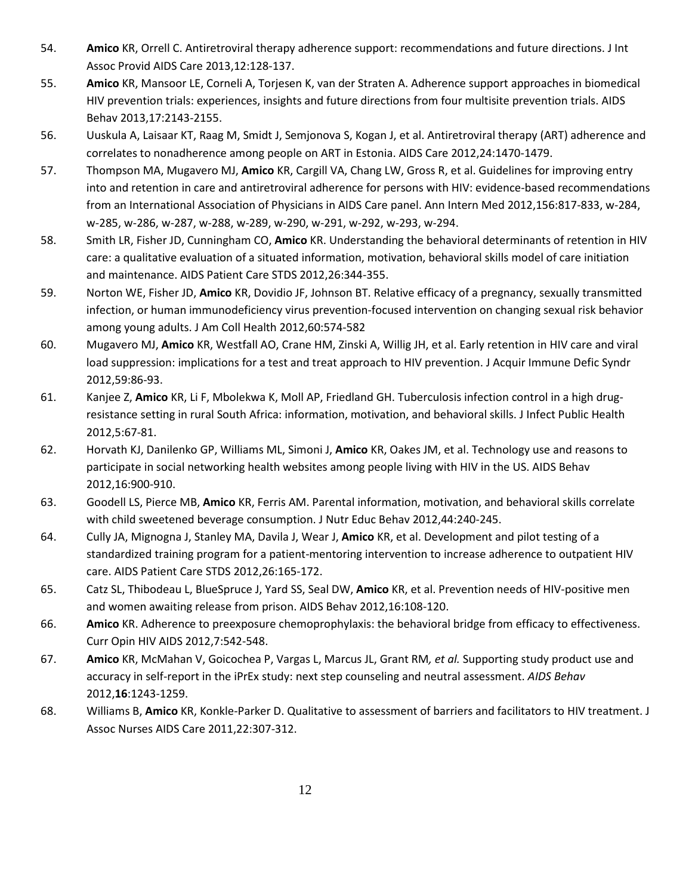- 54. **Amico** KR, Orrell C. Antiretroviral therapy adherence support: recommendations and future directions. J Int Assoc Provid AIDS Care 2013,12:128-137.
- 55. **Amico** KR, Mansoor LE, Corneli A, Torjesen K, van der Straten A. Adherence support approaches in biomedical HIV prevention trials: experiences, insights and future directions from four multisite prevention trials. AIDS Behav 2013,17:2143-2155.
- 56. Uuskula A, Laisaar KT, Raag M, Smidt J, Semjonova S, Kogan J, et al. Antiretroviral therapy (ART) adherence and correlates to nonadherence among people on ART in Estonia. AIDS Care 2012,24:1470-1479.
- 57. Thompson MA, Mugavero MJ, **Amico** KR, Cargill VA, Chang LW, Gross R, et al. Guidelines for improving entry into and retention in care and antiretroviral adherence for persons with HIV: evidence-based recommendations from an International Association of Physicians in AIDS Care panel. Ann Intern Med 2012,156:817-833, w-284, w-285, w-286, w-287, w-288, w-289, w-290, w-291, w-292, w-293, w-294.
- 58. Smith LR, Fisher JD, Cunningham CO, **Amico** KR. Understanding the behavioral determinants of retention in HIV care: a qualitative evaluation of a situated information, motivation, behavioral skills model of care initiation and maintenance. AIDS Patient Care STDS 2012,26:344-355.
- 59. Norton WE, Fisher JD, **Amico** KR, Dovidio JF, Johnson BT. Relative efficacy of a pregnancy, sexually transmitted infection, or human immunodeficiency virus prevention-focused intervention on changing sexual risk behavior among young adults. J Am Coll Health 2012,60:574-582
- 60. Mugavero MJ, **Amico** KR, Westfall AO, Crane HM, Zinski A, Willig JH, et al. Early retention in HIV care and viral load suppression: implications for a test and treat approach to HIV prevention. J Acquir Immune Defic Syndr 2012,59:86-93.
- 61. Kanjee Z, **Amico** KR, Li F, Mbolekwa K, Moll AP, Friedland GH. Tuberculosis infection control in a high drugresistance setting in rural South Africa: information, motivation, and behavioral skills. J Infect Public Health 2012,5:67-81.
- 62. Horvath KJ, Danilenko GP, Williams ML, Simoni J, **Amico** KR, Oakes JM, et al. Technology use and reasons to participate in social networking health websites among people living with HIV in the US. AIDS Behav 2012,16:900-910.
- 63. Goodell LS, Pierce MB, **Amico** KR, Ferris AM. Parental information, motivation, and behavioral skills correlate with child sweetened beverage consumption. J Nutr Educ Behav 2012,44:240-245.
- 64. Cully JA, Mignogna J, Stanley MA, Davila J, Wear J, **Amico** KR, et al. Development and pilot testing of a standardized training program for a patient-mentoring intervention to increase adherence to outpatient HIV care. AIDS Patient Care STDS 2012,26:165-172.
- 65. Catz SL, Thibodeau L, BlueSpruce J, Yard SS, Seal DW, **Amico** KR, et al. Prevention needs of HIV-positive men and women awaiting release from prison. AIDS Behav 2012,16:108-120.
- 66. **Amico** KR. Adherence to preexposure chemoprophylaxis: the behavioral bridge from efficacy to effectiveness. Curr Opin HIV AIDS 2012,7:542-548.
- 67. **Amico** KR, McMahan V, Goicochea P, Vargas L, Marcus JL, Grant RM*, et al.* Supporting study product use and accuracy in self-report in the iPrEx study: next step counseling and neutral assessment. *AIDS Behav*  2012,**16**:1243-1259.
- 68. Williams B, **Amico** KR, Konkle-Parker D. Qualitative to assessment of barriers and facilitators to HIV treatment. J Assoc Nurses AIDS Care 2011,22:307-312.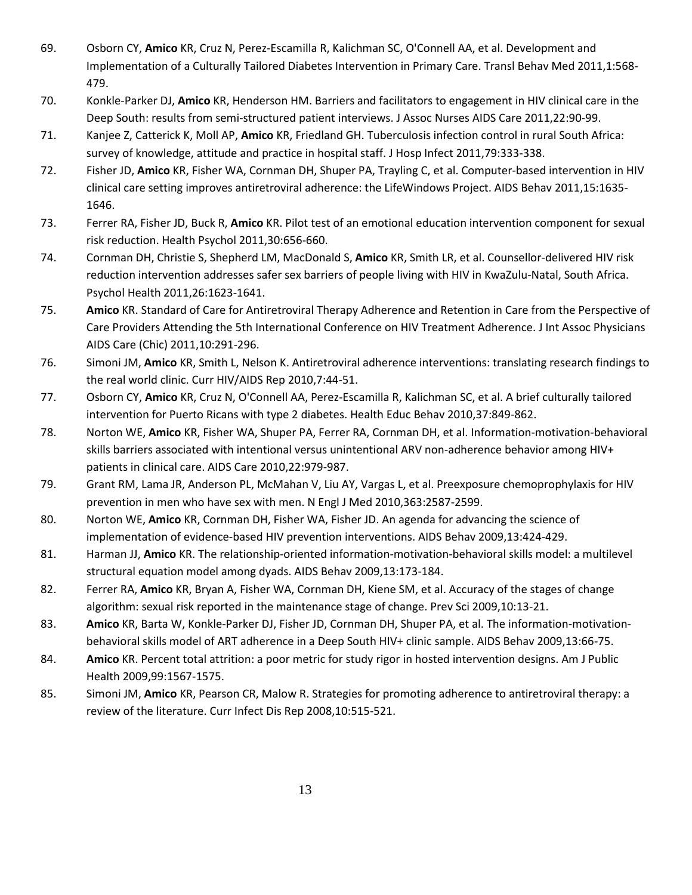- 69. Osborn CY, **Amico** KR, Cruz N, Perez-Escamilla R, Kalichman SC, O'Connell AA, et al. Development and Implementation of a Culturally Tailored Diabetes Intervention in Primary Care. Transl Behav Med 2011,1:568- 479.
- 70. Konkle-Parker DJ, **Amico** KR, Henderson HM. Barriers and facilitators to engagement in HIV clinical care in the Deep South: results from semi-structured patient interviews. J Assoc Nurses AIDS Care 2011,22:90-99.
- 71. Kanjee Z, Catterick K, Moll AP, **Amico** KR, Friedland GH. Tuberculosis infection control in rural South Africa: survey of knowledge, attitude and practice in hospital staff. J Hosp Infect 2011,79:333-338.
- 72. Fisher JD, **Amico** KR, Fisher WA, Cornman DH, Shuper PA, Trayling C, et al. Computer-based intervention in HIV clinical care setting improves antiretroviral adherence: the LifeWindows Project. AIDS Behav 2011,15:1635- 1646.
- 73. Ferrer RA, Fisher JD, Buck R, **Amico** KR. Pilot test of an emotional education intervention component for sexual risk reduction. Health Psychol 2011,30:656-660.
- 74. Cornman DH, Christie S, Shepherd LM, MacDonald S, **Amico** KR, Smith LR, et al. Counsellor-delivered HIV risk reduction intervention addresses safer sex barriers of people living with HIV in KwaZulu-Natal, South Africa. Psychol Health 2011,26:1623-1641.
- 75. **Amico** KR. Standard of Care for Antiretroviral Therapy Adherence and Retention in Care from the Perspective of Care Providers Attending the 5th International Conference on HIV Treatment Adherence. J Int Assoc Physicians AIDS Care (Chic) 2011,10:291-296.
- 76. Simoni JM, **Amico** KR, Smith L, Nelson K. Antiretroviral adherence interventions: translating research findings to the real world clinic. Curr HIV/AIDS Rep 2010,7:44-51.
- 77. Osborn CY, **Amico** KR, Cruz N, O'Connell AA, Perez-Escamilla R, Kalichman SC, et al. A brief culturally tailored intervention for Puerto Ricans with type 2 diabetes. Health Educ Behav 2010,37:849-862.
- 78. Norton WE, **Amico** KR, Fisher WA, Shuper PA, Ferrer RA, Cornman DH, et al. Information-motivation-behavioral skills barriers associated with intentional versus unintentional ARV non-adherence behavior among HIV+ patients in clinical care. AIDS Care 2010,22:979-987.
- 79. Grant RM, Lama JR, Anderson PL, McMahan V, Liu AY, Vargas L, et al. Preexposure chemoprophylaxis for HIV prevention in men who have sex with men. N Engl J Med 2010,363:2587-2599.
- 80. Norton WE, **Amico** KR, Cornman DH, Fisher WA, Fisher JD. An agenda for advancing the science of implementation of evidence-based HIV prevention interventions. AIDS Behav 2009,13:424-429.
- 81. Harman JJ, **Amico** KR. The relationship-oriented information-motivation-behavioral skills model: a multilevel structural equation model among dyads. AIDS Behav 2009,13:173-184.
- 82. Ferrer RA, **Amico** KR, Bryan A, Fisher WA, Cornman DH, Kiene SM, et al. Accuracy of the stages of change algorithm: sexual risk reported in the maintenance stage of change. Prev Sci 2009,10:13-21.
- 83. **Amico** KR, Barta W, Konkle-Parker DJ, Fisher JD, Cornman DH, Shuper PA, et al. The information-motivationbehavioral skills model of ART adherence in a Deep South HIV+ clinic sample. AIDS Behav 2009,13:66-75.
- 84. **Amico** KR. Percent total attrition: a poor metric for study rigor in hosted intervention designs. Am J Public Health 2009,99:1567-1575.
- 85. Simoni JM, **Amico** KR, Pearson CR, Malow R. Strategies for promoting adherence to antiretroviral therapy: a review of the literature. Curr Infect Dis Rep 2008,10:515-521.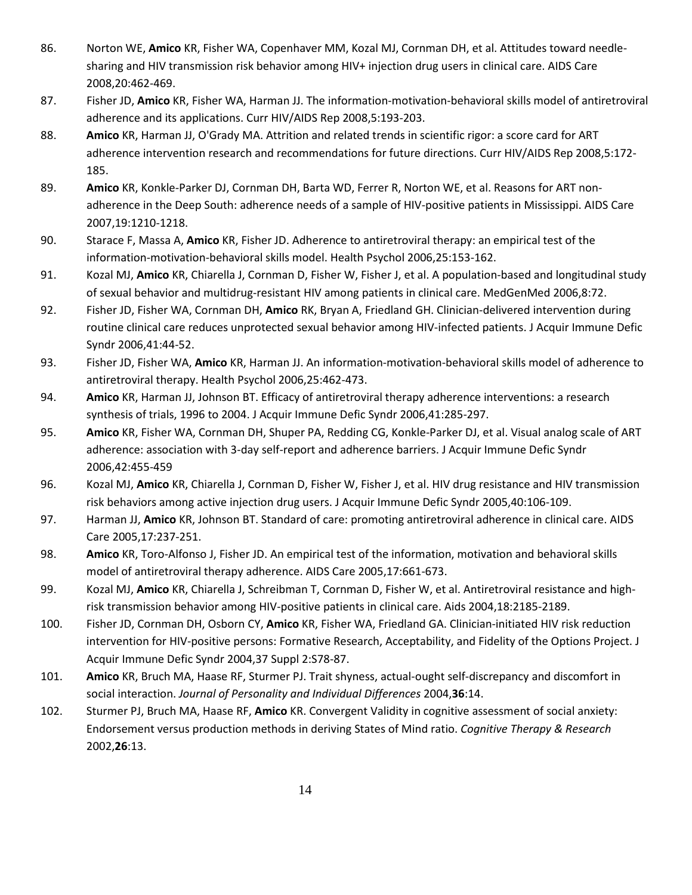- 86. Norton WE, **Amico** KR, Fisher WA, Copenhaver MM, Kozal MJ, Cornman DH, et al. Attitudes toward needlesharing and HIV transmission risk behavior among HIV+ injection drug users in clinical care. AIDS Care 2008,20:462-469.
- 87. Fisher JD, **Amico** KR, Fisher WA, Harman JJ. The information-motivation-behavioral skills model of antiretroviral adherence and its applications. Curr HIV/AIDS Rep 2008,5:193-203.
- 88. **Amico** KR, Harman JJ, O'Grady MA. Attrition and related trends in scientific rigor: a score card for ART adherence intervention research and recommendations for future directions. Curr HIV/AIDS Rep 2008,5:172- 185.
- 89. **Amico** KR, Konkle-Parker DJ, Cornman DH, Barta WD, Ferrer R, Norton WE, et al. Reasons for ART nonadherence in the Deep South: adherence needs of a sample of HIV-positive patients in Mississippi. AIDS Care 2007,19:1210-1218.
- 90. Starace F, Massa A, **Amico** KR, Fisher JD. Adherence to antiretroviral therapy: an empirical test of the information-motivation-behavioral skills model. Health Psychol 2006,25:153-162.
- 91. Kozal MJ, **Amico** KR, Chiarella J, Cornman D, Fisher W, Fisher J, et al. A population-based and longitudinal study of sexual behavior and multidrug-resistant HIV among patients in clinical care. MedGenMed 2006,8:72.
- 92. Fisher JD, Fisher WA, Cornman DH, **Amico** RK, Bryan A, Friedland GH. Clinician-delivered intervention during routine clinical care reduces unprotected sexual behavior among HIV-infected patients. J Acquir Immune Defic Syndr 2006,41:44-52.
- 93. Fisher JD, Fisher WA, **Amico** KR, Harman JJ. An information-motivation-behavioral skills model of adherence to antiretroviral therapy. Health Psychol 2006,25:462-473.
- 94. **Amico** KR, Harman JJ, Johnson BT. Efficacy of antiretroviral therapy adherence interventions: a research synthesis of trials, 1996 to 2004. J Acquir Immune Defic Syndr 2006,41:285-297.
- 95. **Amico** KR, Fisher WA, Cornman DH, Shuper PA, Redding CG, Konkle-Parker DJ, et al. Visual analog scale of ART adherence: association with 3-day self-report and adherence barriers. J Acquir Immune Defic Syndr 2006,42:455-459
- 96. Kozal MJ, **Amico** KR, Chiarella J, Cornman D, Fisher W, Fisher J, et al. HIV drug resistance and HIV transmission risk behaviors among active injection drug users. J Acquir Immune Defic Syndr 2005,40:106-109.
- 97. Harman JJ, **Amico** KR, Johnson BT. Standard of care: promoting antiretroviral adherence in clinical care. AIDS Care 2005,17:237-251.
- 98. **Amico** KR, Toro-Alfonso J, Fisher JD. An empirical test of the information, motivation and behavioral skills model of antiretroviral therapy adherence. AIDS Care 2005,17:661-673.
- 99. Kozal MJ, **Amico** KR, Chiarella J, Schreibman T, Cornman D, Fisher W, et al. Antiretroviral resistance and highrisk transmission behavior among HIV-positive patients in clinical care. Aids 2004,18:2185-2189.
- 100. Fisher JD, Cornman DH, Osborn CY, **Amico** KR, Fisher WA, Friedland GA. Clinician-initiated HIV risk reduction intervention for HIV-positive persons: Formative Research, Acceptability, and Fidelity of the Options Project. J Acquir Immune Defic Syndr 2004,37 Suppl 2:S78-87.
- 101. **Amico** KR, Bruch MA, Haase RF, Sturmer PJ. Trait shyness, actual-ought self-discrepancy and discomfort in social interaction. *Journal of Personality and Individual Differences* 2004,**36**:14.
- 102. Sturmer PJ, Bruch MA, Haase RF, **Amico** KR. Convergent Validity in cognitive assessment of social anxiety: Endorsement versus production methods in deriving States of Mind ratio. *Cognitive Therapy & Research*  2002,**26**:13.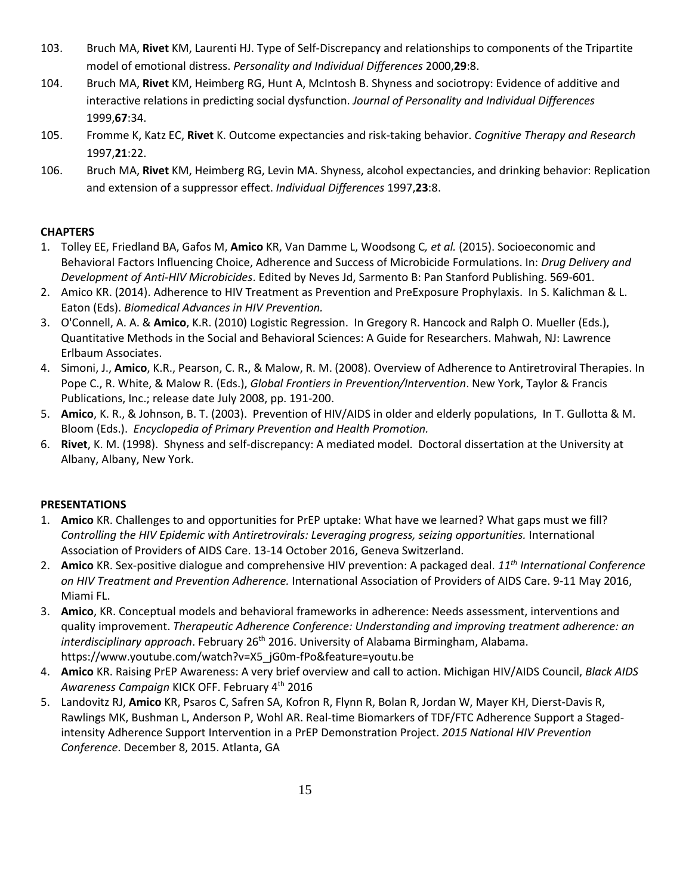- 103. Bruch MA, **Rivet** KM, Laurenti HJ. Type of Self-Discrepancy and relationships to components of the Tripartite model of emotional distress. *Personality and Individual Differences* 2000,**29**:8.
- 104. Bruch MA, **Rivet** KM, Heimberg RG, Hunt A, McIntosh B. Shyness and sociotropy: Evidence of additive and interactive relations in predicting social dysfunction. *Journal of Personality and Individual Differences*  1999,**67**:34.
- 105. Fromme K, Katz EC, **Rivet** K. Outcome expectancies and risk-taking behavior. *Cognitive Therapy and Research*  1997,**21**:22.
- 106. Bruch MA, **Rivet** KM, Heimberg RG, Levin MA. Shyness, alcohol expectancies, and drinking behavior: Replication and extension of a suppressor effect. *Individual Differences* 1997,**23**:8.

# **CHAPTERS**

- 1. Tolley EE, Friedland BA, Gafos M, **Amico** KR, Van Damme L, Woodsong C*, et al.* (2015). Socioeconomic and Behavioral Factors Influencing Choice, Adherence and Success of Microbicide Formulations. In: *Drug Delivery and Development of Anti-HIV Microbicides*. Edited by Neves Jd, Sarmento B: Pan Stanford Publishing. 569-601.
- 2. Amico KR. (2014). Adherence to HIV Treatment as Prevention and PreExposure Prophylaxis. In S. Kalichman & L. Eaton (Eds). *Biomedical Advances in HIV Prevention.*
- 3. O'Connell, A. A. & **Amico**, K.R. (2010) Logistic Regression. In Gregory R. Hancock and Ralph O. Mueller (Eds.), Quantitative Methods in the Social and Behavioral Sciences: A Guide for Researchers. Mahwah, NJ: Lawrence Erlbaum Associates.
- 4. Simoni, J., **Amico**, K.R., Pearson, C. R**.**, & Malow, R. M. (2008). Overview of Adherence to Antiretroviral Therapies. In Pope C., R. White, & Malow R. (Eds.), *Global Frontiers in Prevention/Intervention*. New York, Taylor & Francis Publications, Inc.; release date July 2008, pp. 191-200.
- 5. **Amico**, K. R., & Johnson, B. T. (2003). Prevention of HIV/AIDS in older and elderly populations, In T. Gullotta & M. Bloom (Eds.). *Encyclopedia of Primary Prevention and Health Promotion.*
- 6. **Rivet**, K. M. (1998). Shyness and self-discrepancy: A mediated model. Doctoral dissertation at the University at Albany, Albany, New York.

# **PRESENTATIONS**

- 1. **Amico** KR. Challenges to and opportunities for PrEP uptake: What have we learned? What gaps must we fill? *Controlling the HIV Epidemic with Antiretrovirals: Leveraging progress, seizing opportunities.* International Association of Providers of AIDS Care. 13-14 October 2016, Geneva Switzerland.
- 2. **Amico** KR. Sex-positive dialogue and comprehensive HIV prevention: A packaged deal. *11th International Conference on HIV Treatment and Prevention Adherence.* International Association of Providers of AIDS Care. 9-11 May 2016, Miami FL.
- 3. **Amico**, KR. Conceptual models and behavioral frameworks in adherence: Needs assessment, interventions and quality improvement. *Therapeutic Adherence Conference: Understanding and improving treatment adherence: an interdisciplinary approach*. February 26<sup>th</sup> 2016. University of Alabama Birmingham, Alabama. https://www.youtube.com/watch?v=X5\_jG0m-fPo&feature=youtu.be
- 4. **Amico** KR. Raising PrEP Awareness: A very brief overview and call to action. Michigan HIV/AIDS Council, *Black AIDS Awareness Campaign* KICK OFF. February 4th 2016
- 5. Landovitz RJ, **Amico** KR, Psaros C, Safren SA, Kofron R, Flynn R, Bolan R, Jordan W, Mayer KH, Dierst-Davis R, Rawlings MK, Bushman L, Anderson P, Wohl AR. Real-time Biomarkers of TDF/FTC Adherence Support a Stagedintensity Adherence Support Intervention in a PrEP Demonstration Project. *2015 National HIV Prevention Conference*. December 8, 2015. Atlanta, GA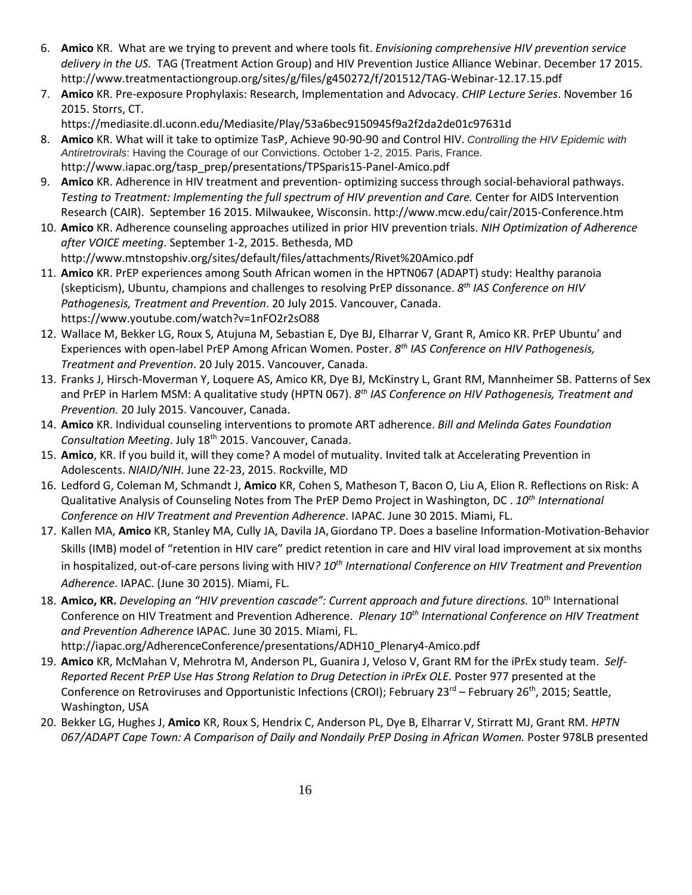- 6. **Amico** KR. What are we trying to prevent and where tools fit. *Envisioning comprehensive HIV prevention service delivery in the US.* TAG (Treatment Action Group) and HIV Prevention Justice Alliance Webinar. December 17 2015. http://www.treatmentactiongroup.org/sites/g/files/g450272/f/201512/TAG-Webinar-12.17.15.pdf
- 7. **Amico** KR. Pre-exposure Prophylaxis: Research, Implementation and Advocacy. *CHIP Lecture Series*. November 16 2015. Storrs, CT.

https://mediasite.dl.uconn.edu/Mediasite/Play/53a6bec9150945f9a2f2da2de01c97631d

- 8. **Amico** KR. What will it take to optimize TasP, Achieve 90-90-90 and Control HIV. *Controlling the HIV Epidemic with Antiretrovirals*: Having the Courage of our Convictions. October 1-2, 2015. Paris, France. http://www.iapac.org/tasp\_prep/presentations/TPSparis15-Panel-Amico.pdf
- 9. **Amico** KR. Adherence in HIV treatment and prevention- optimizing success through social-behavioral pathways. *Testing to Treatment: Implementing the full spectrum of HIV prevention and Care.* Center for AIDS Intervention Research (CAIR). September 16 2015. Milwaukee, Wisconsin. http://www.mcw.edu/cair/2015-Conference.htm
- 10. **Amico** KR. Adherence counseling approaches utilized in prior HIV prevention trials. *NIH Optimization of Adherence after VOICE meeting*. September 1-2, 2015. Bethesda, MD http://www.mtnstopshiv.org/sites/default/files/attachments/Rivet%20Amico.pdf
- 11. **Amico** KR. PrEP experiences among South African women in the HPTN067 (ADAPT) study: Healthy paranoia (skepticism), Ubuntu, champions and challenges to resolving PrEP dissonance. *8th IAS Conference on HIV Pathogenesis, Treatment and Prevention*. 20 July 2015. Vancouver, Canada. https://www.youtube.com/watch?v=1nFO2r2sO88
- 12. Wallace M, Bekker LG, Roux S, Atujuna M, Sebastian E, Dye BJ, Elharrar V, Grant R, Amico KR. PrEP Ubuntu' and Experiences with open-label PrEP Among African Women. Poster. *8th IAS Conference on HIV Pathogenesis, Treatment and Prevention*. 20 July 2015. Vancouver, Canada.
- 13. Franks J, Hirsch-Moverman Y, Loquere AS, Amico KR, Dye BJ, McKinstry L, Grant RM, Mannheimer SB. Patterns of Sex and PrEP in Harlem MSM: A qualitative study (HPTN 067). *8th IAS Conference on HIV Pathogenesis, Treatment and Prevention.* 20 July 2015. Vancouver, Canada.
- 14. **Amico** KR. Individual counseling interventions to promote ART adherence. *Bill and Melinda Gates Foundation Consultation Meeting*. July 18th 2015. Vancouver, Canada.
- 15. **Amico**, KR. If you build it, will they come? A model of mutuality. Invited talk at Accelerating Prevention in Adolescents. *NIAID/NIH*. June 22-23, 2015. Rockville, MD
- 16. Ledford G, Coleman M, Schmandt J, **Amico** KR, Cohen S, Matheson T, Bacon O, Liu A, Elion R. Reflections on Risk: A Qualitative Analysis of Counseling Notes from The PrEP Demo Project in Washington, DC . *10th International Conference on HIV Treatment and Prevention Adherence*. IAPAC. June 30 2015. Miami, FL.
- 17. Kallen MA, **Amico** KR, Stanley MA, Cully JA, Davila JA,Giordano TP. Does a baseline Information-Motivation-Behavior Skills (IMB) model of "retention in HIV care" predict retention in care and HIV viral load improvement at six months in hospitalized, out-of-care persons living with HIV*? 10th International Conference on HIV Treatment and Prevention Adherence*. IAPAC. (June 30 2015). Miami, FL.
- 18. Amico, KR. Developing an "HIV prevention cascade": Current approach and future directions. 10<sup>th</sup> International Conference on HIV Treatment and Prevention Adherence. *Plenary 10th International Conference on HIV Treatment and Prevention Adherence* IAPAC. June 30 2015. Miami, FL. http://iapac.org/AdherenceConference/presentations/ADH10\_Plenary4-Amico.pdf
- 19. **Amico** KR, McMahan V, Mehrotra M, Anderson PL, Guanira J, Veloso V, Grant RM for the iPrEx study team. *Self-Reported Recent PrEP Use Has Strong Relation to Drug Detection in iPrEx OLE.* Poster 977 presented at the Conference on Retroviruses and Opportunistic Infections (CROI); February 23<sup>rd</sup> – February 26<sup>th</sup>, 2015; Seattle, Washington, USA
- 20. Bekker LG, Hughes J, **Amico** KR, Roux S, Hendrix C, Anderson PL, Dye B, Elharrar V, Stirratt MJ, Grant RM. *HPTN*  067/ADAPT Cape Town: A Comparison of Daily and Nondaily PrEP Dosing in African Women. Poster 978LB presented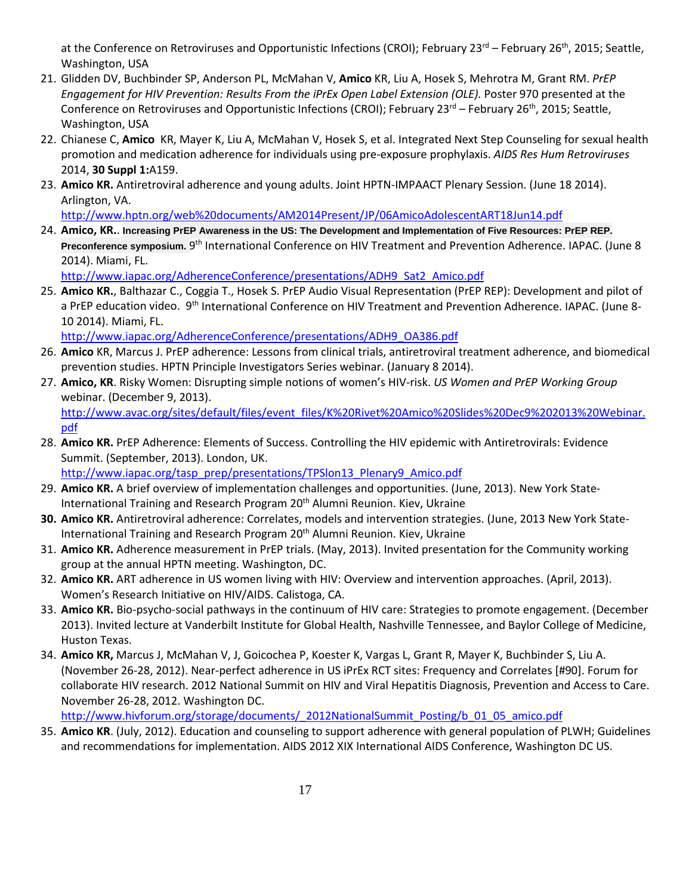at the Conference on Retroviruses and Opportunistic Infections (CROI); February 23<sup>rd</sup> – February 26<sup>th</sup>, 2015; Seattle, Washington, USA

- 21. Glidden DV, Buchbinder SP, Anderson PL, McMahan V, **Amico** KR, Liu A, Hosek S, Mehrotra M, Grant RM. *PrEP Engagement for HIV Prevention: Results From the iPrEx Open Label Extension (OLE).* Poster 970 presented at the Conference on Retroviruses and Opportunistic Infections (CROI); February 23<sup>rd</sup> – February 26<sup>th</sup>, 2015; Seattle, Washington, USA
- 22. Chianese C, **Amico** KR, Mayer K, Liu A, McMahan V, Hosek S, et al. Integrated Next Step Counseling for sexual health promotion and medication adherence for individuals using pre-exposure prophylaxis. *AIDS Res Hum Retroviruses*  2014, **30 Suppl 1:**A159.
- 23. **Amico KR.** Antiretroviral adherence and young adults. Joint HPTN-IMPAACT Plenary Session. (June 18 2014). Arlington, VA.

<http://www.hptn.org/web%20documents/AM2014Present/JP/06AmicoAdolescentART18Jun14.pdf>

24. **Amico, KR.**. **Increasing PrEP Awareness in the US: The Development and Implementation of Five Resources: PrEP REP. Preconference symposium.** 9th International Conference on HIV Treatment and Prevention Adherence. IAPAC. (June 8 2014). Miami, FL.

[http://www.iapac.org/AdherenceConference/presentations/ADH9\\_Sat2\\_Amico.pdf](http://www.iapac.org/AdherenceConference/presentations/ADH9_Sat2_Amico.pdf)

25. **Amico KR.**, Balthazar C., Coggia T., Hosek S. PrEP Audio Visual Representation (PrEP REP): Development and pilot of a PrEP education video. 9<sup>th</sup> International Conference on HIV Treatment and Prevention Adherence. IAPAC. (June 8-10 2014). Miami, FL.

[http://www.iapac.org/AdherenceConference/presentations/ADH9\\_OA386.pdf](http://www.iapac.org/AdherenceConference/presentations/ADH9_OA386.pdf)

- 26. **Amico** KR, Marcus J. PrEP adherence: Lessons from clinical trials, antiretroviral treatment adherence, and biomedical prevention studies. HPTN Principle Investigators Series webinar. (January 8 2014).
- 27. **Amico, KR**. Risky Women: Disrupting simple notions of women's HIV-risk. *US Women and PrEP Working Group*  webinar. (December 9, 2013). [http://www.avac.org/sites/default/files/event\\_files/K%20Rivet%20Amico%20Slides%20Dec9%202013%20Webinar.](http://www.avac.org/sites/default/files/event_files/K%20Rivet%20Amico%20Slides%20Dec9%202013%20Webinar.pdf) [pdf](http://www.avac.org/sites/default/files/event_files/K%20Rivet%20Amico%20Slides%20Dec9%202013%20Webinar.pdf)
- 28. **Amico KR.** PrEP Adherence: Elements of Success. Controlling the HIV epidemic with Antiretrovirals: Evidence Summit. (September, 2013). London, UK.

[http://www.iapac.org/tasp\\_prep/presentations/TPSlon13\\_Plenary9\\_Amico.pdf](http://www.iapac.org/tasp_prep/presentations/TPSlon13_Plenary9_Amico.pdf)

- 29. **Amico KR.** A brief overview of implementation challenges and opportunities. (June, 2013). New York State-International Training and Research Program 20<sup>th</sup> Alumni Reunion. Kiev, Ukraine
- **30. Amico KR.** Antiretroviral adherence: Correlates, models and intervention strategies. (June, 2013 New York State-International Training and Research Program 20<sup>th</sup> Alumni Reunion. Kiev, Ukraine
- 31. **Amico KR.** Adherence measurement in PrEP trials. (May, 2013). Invited presentation for the Community working group at the annual HPTN meeting. Washington, DC.
- 32. **Amico KR.** ART adherence in US women living with HIV: Overview and intervention approaches. (April, 2013). Women's Research Initiative on HIV/AIDS. Calistoga, CA.
- 33. **Amico KR.** Bio-psycho-social pathways in the continuum of HIV care: Strategies to promote engagement. (December 2013). Invited lecture at Vanderbilt Institute for Global Health, Nashville Tennessee, and Baylor College of Medicine, Huston Texas.
- 34. **Amico KR,** Marcus J, McMahan V, J, Goicochea P, Koester K, Vargas L, Grant R, Mayer K, Buchbinder S, Liu A. (November 26-28, 2012). Near-perfect adherence in US iPrEx RCT sites: Frequency and Correlates [#90]. Forum for collaborate HIV research. 2012 National Summit on HIV and Viral Hepatitis Diagnosis, Prevention and Access to Care. November 26-28, 2012. Washington DC.

[http://www.hivforum.org/storage/documents/\\_2012NationalSummit\\_Posting/b\\_01\\_05\\_amico.pdf](http://www.hivforum.org/storage/documents/_2012NationalSummit_Posting/b_01_05_amico.pdf)

35. **Amico KR**. (July, 2012). Education and counseling to support adherence with general population of PLWH; Guidelines and recommendations for implementation. AIDS 2012 XIX International AIDS Conference, Washington DC US.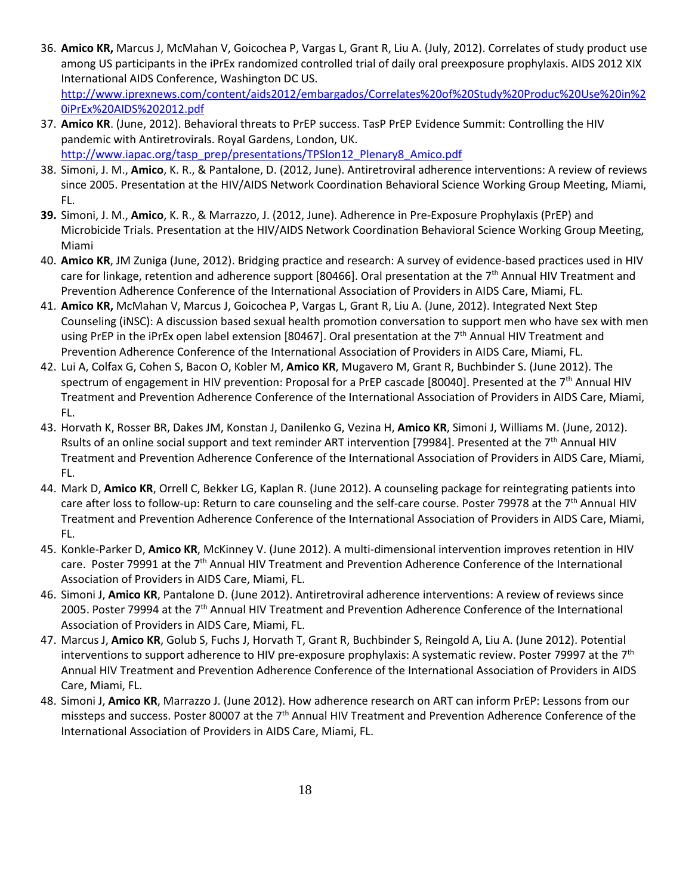- 36. **Amico KR,** Marcus J, McMahan V, Goicochea P, Vargas L, Grant R, Liu A. (July, 2012). Correlates of study product use among US participants in the iPrEx randomized controlled trial of daily oral preexposure prophylaxis. AIDS 2012 XIX International AIDS Conference, Washington DC US. [http://www.iprexnews.com/content/aids2012/embargados/Correlates%20of%20Study%20Produc%20Use%20in%2](http://www.iprexnews.com/content/aids2012/embargados/Correlates%20of%20Study%20Produc%20Use%20in%20iPrEx%20AIDS%202012.pdf) [0iPrEx%20AIDS%202012.pdf](http://www.iprexnews.com/content/aids2012/embargados/Correlates%20of%20Study%20Produc%20Use%20in%20iPrEx%20AIDS%202012.pdf)
- 37. **Amico KR**. (June, 2012). Behavioral threats to PrEP success. TasP PrEP Evidence Summit: Controlling the HIV pandemic with Antiretrovirals. Royal Gardens, London, UK. [http://www.iapac.org/tasp\\_prep/presentations/TPSlon12\\_Plenary8\\_Amico.pdf](http://www.iapac.org/tasp_prep/presentations/TPSlon12_Plenary8_Amico.pdf)
- 38. Simoni, J. M., **Amico**, K. R., & Pantalone, D. (2012, June). Antiretroviral adherence interventions: A review of reviews since 2005. Presentation at the HIV/AIDS Network Coordination Behavioral Science Working Group Meeting, Miami, FL.
- **39.** Simoni, J. M., **Amico**, K. R., & Marrazzo, J. (2012, June). Adherence in Pre-Exposure Prophylaxis (PrEP) and Microbicide Trials. Presentation at the HIV/AIDS Network Coordination Behavioral Science Working Group Meeting, Miami
- 40. **Amico KR**, JM Zuniga (June, 2012). Bridging practice and research: A survey of evidence-based practices used in HIV care for linkage, retention and adherence support [80466]. Oral presentation at the  $7<sup>th</sup>$  Annual HIV Treatment and Prevention Adherence Conference of the International Association of Providers in AIDS Care, Miami, FL.
- 41. **Amico KR,** McMahan V, Marcus J, Goicochea P, Vargas L, Grant R, Liu A. (June, 2012). Integrated Next Step Counseling (iNSC): A discussion based sexual health promotion conversation to support men who have sex with men using PrEP in the iPrEx open label extension [80467]. Oral presentation at the  $7<sup>th</sup>$  Annual HIV Treatment and Prevention Adherence Conference of the International Association of Providers in AIDS Care, Miami, FL.
- 42. Lui A, Colfax G, Cohen S, Bacon O, Kobler M, **Amico KR**, Mugavero M, Grant R, Buchbinder S. (June 2012). The spectrum of engagement in HIV prevention: Proposal for a PrEP cascade [80040]. Presented at the 7<sup>th</sup> Annual HIV Treatment and Prevention Adherence Conference of the International Association of Providers in AIDS Care, Miami, FL.
- 43. Horvath K, Rosser BR, Dakes JM, Konstan J, Danilenko G, Vezina H, **Amico KR**, Simoni J, Williams M. (June, 2012). Rsults of an online social support and text reminder ART intervention [79984]. Presented at the 7th Annual HIV Treatment and Prevention Adherence Conference of the International Association of Providers in AIDS Care, Miami, FL.
- 44. Mark D, **Amico KR**, Orrell C, Bekker LG, Kaplan R. (June 2012). A counseling package for reintegrating patients into care after loss to follow-up: Return to care counseling and the self-care course. Poster 79978 at the 7<sup>th</sup> Annual HIV Treatment and Prevention Adherence Conference of the International Association of Providers in AIDS Care, Miami, FL.
- 45. Konkle-Parker D, **Amico KR**, McKinney V. (June 2012). A multi-dimensional intervention improves retention in HIV care. Poster 79991 at the 7<sup>th</sup> Annual HIV Treatment and Prevention Adherence Conference of the International Association of Providers in AIDS Care, Miami, FL.
- 46. Simoni J, **Amico KR**, Pantalone D. (June 2012). Antiretroviral adherence interventions: A review of reviews since 2005. Poster 79994 at the 7<sup>th</sup> Annual HIV Treatment and Prevention Adherence Conference of the International Association of Providers in AIDS Care, Miami, FL.
- 47. Marcus J, **Amico KR**, Golub S, Fuchs J, Horvath T, Grant R, Buchbinder S, Reingold A, Liu A. (June 2012). Potential interventions to support adherence to HIV pre-exposure prophylaxis: A systematic review. Poster 79997 at the 7<sup>th</sup> Annual HIV Treatment and Prevention Adherence Conference of the International Association of Providers in AIDS Care, Miami, FL.
- 48. Simoni J, **Amico KR**, Marrazzo J. (June 2012). How adherence research on ART can inform PrEP: Lessons from our missteps and success. Poster 80007 at the 7<sup>th</sup> Annual HIV Treatment and Prevention Adherence Conference of the International Association of Providers in AIDS Care, Miami, FL.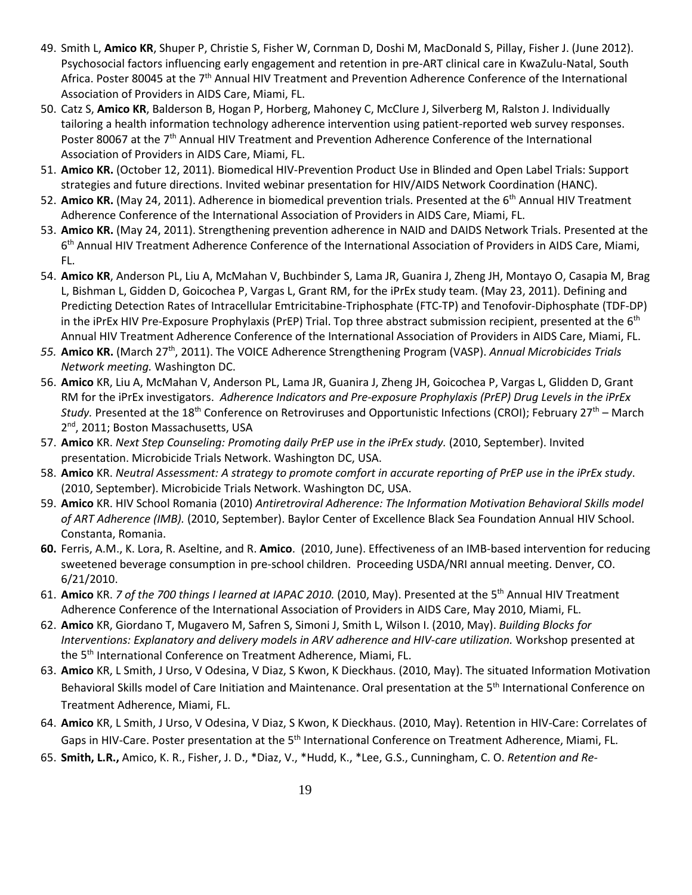- 49. Smith L, **Amico KR**, Shuper P, Christie S, Fisher W, Cornman D, Doshi M, MacDonald S, Pillay, Fisher J. (June 2012). Psychosocial factors influencing early engagement and retention in pre-ART clinical care in KwaZulu-Natal, South Africa. Poster 80045 at the 7<sup>th</sup> Annual HIV Treatment and Prevention Adherence Conference of the International Association of Providers in AIDS Care, Miami, FL.
- 50. Catz S, **Amico KR**, Balderson B, Hogan P, Horberg, Mahoney C, McClure J, Silverberg M, Ralston J. Individually tailoring a health information technology adherence intervention using patient-reported web survey responses. Poster 80067 at the 7<sup>th</sup> Annual HIV Treatment and Prevention Adherence Conference of the International Association of Providers in AIDS Care, Miami, FL.
- 51. **Amico KR.** (October 12, 2011). Biomedical HIV-Prevention Product Use in Blinded and Open Label Trials: Support strategies and future directions. Invited webinar presentation for HIV/AIDS Network Coordination (HANC).
- 52. Amico KR. (May 24, 2011). Adherence in biomedical prevention trials. Presented at the 6<sup>th</sup> Annual HIV Treatment Adherence Conference of the International Association of Providers in AIDS Care, Miami, FL.
- 53. **Amico KR.** (May 24, 2011). Strengthening prevention adherence in NAID and DAIDS Network Trials. Presented at the 6th Annual HIV Treatment Adherence Conference of the International Association of Providers in AIDS Care, Miami, FL.
- 54. **Amico KR**, Anderson PL, Liu A, McMahan V, Buchbinder S, Lama JR, Guanira J, Zheng JH, Montayo O, Casapia M, Brag L, Bishman L, Gidden D, Goicochea P, Vargas L, Grant RM, for the iPrEx study team. (May 23, 2011). Defining and Predicting Detection Rates of Intracellular Emtricitabine-Triphosphate (FTC-TP) and Tenofovir-Diphosphate (TDF-DP) in the iPrEx HIV Pre-Exposure Prophylaxis (PrEP) Trial. Top three abstract submission recipient, presented at the 6<sup>th</sup> Annual HIV Treatment Adherence Conference of the International Association of Providers in AIDS Care, Miami, FL.
- *55.* **Amico KR.** (March 27th, 2011). The VOICE Adherence Strengthening Program (VASP). *Annual Microbicides Trials Network meeting.* Washington DC.
- 56. **Amico** KR, Liu A, McMahan V, Anderson PL, Lama JR, Guanira J, Zheng JH, Goicochea P, Vargas L, Glidden D, Grant RM for the iPrEx investigators. *Adherence Indicators and Pre-exposure Prophylaxis (PrEP) Drug Levels in the iPrEx Study.* Presented at the 18th Conference on Retroviruses and Opportunistic Infections (CROI); February 27th – March 2<sup>nd</sup>, 2011; Boston Massachusetts, USA
- 57. **Amico** KR. *Next Step Counseling: Promoting daily PrEP use in the iPrEx study.* (2010, September). Invited presentation. Microbicide Trials Network. Washington DC, USA.
- 58. **Amico** KR. *Neutral Assessment: A strategy to promote comfort in accurate reporting of PrEP use in the iPrEx study*. (2010, September). Microbicide Trials Network. Washington DC, USA.
- 59. **Amico** KR. HIV School Romania (2010) *Antiretroviral Adherence: The Information Motivation Behavioral Skills model of ART Adherence (IMB).* (2010, September). Baylor Center of Excellence Black Sea Foundation Annual HIV School. Constanta, Romania.
- **60.** Ferris, A.M., K. Lora, R. Aseltine, and R. **Amico**. (2010, June). Effectiveness of an IMB-based intervention for reducing sweetened beverage consumption in pre-school children. Proceeding USDA/NRI annual meeting. Denver, CO. 6/21/2010.
- 61. **Amico** KR. *7 of the 700 things I learned at IAPAC 2010.* (2010, May). Presented at the 5th Annual HIV Treatment Adherence Conference of the International Association of Providers in AIDS Care, May 2010, Miami, FL.
- 62. **Amico** KR, Giordano T, Mugavero M, Safren S, Simoni J, Smith L, Wilson I. (2010, May). *Building Blocks for Interventions: Explanatory and delivery models in ARV adherence and HIV-care utilization.* Workshop presented at the 5<sup>th</sup> International Conference on Treatment Adherence, Miami, FL.
- 63. **Amico** KR, L Smith, J Urso, V Odesina, V Diaz, S Kwon, K Dieckhaus. (2010, May). The situated Information Motivation Behavioral Skills model of Care Initiation and Maintenance. Oral presentation at the 5<sup>th</sup> International Conference on Treatment Adherence, Miami, FL.
- 64. **Amico** KR, L Smith, J Urso, V Odesina, V Diaz, S Kwon, K Dieckhaus. (2010, May). Retention in HIV-Care: Correlates of Gaps in HIV-Care. Poster presentation at the 5<sup>th</sup> International Conference on Treatment Adherence, Miami, FL.
- 65. **Smith, L.R.,** Amico, K. R., Fisher, J. D., \*Diaz, V., \*Hudd, K., \*Lee, G.S., Cunningham, C. O. *Retention and Re-*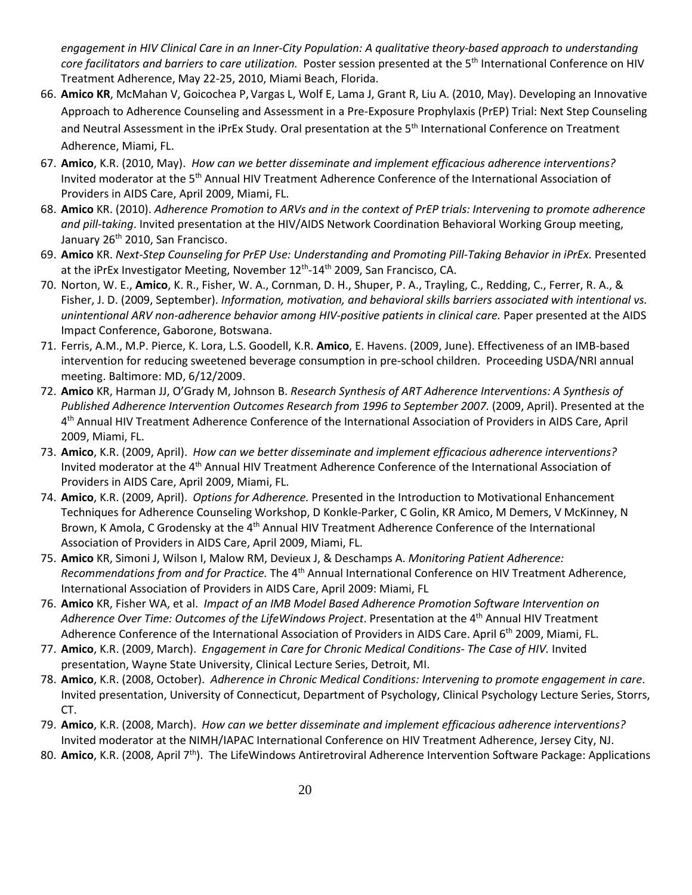*engagement in HIV Clinical Care in an Inner-City Population: A qualitative theory-based approach to understanding core facilitators and barriers to care utilization.* Poster session presented at the 5th International Conference on HIV Treatment Adherence, May 22-25, 2010, Miami Beach, Florida.

- 66. **Amico KR**, McMahan V, Goicochea P, Vargas L, Wolf E, Lama J, Grant R, Liu A. (2010, May). Developing an Innovative Approach to Adherence Counseling and Assessment in a Pre-Exposure Prophylaxis (PrEP) Trial: Next Step Counseling and Neutral Assessment in the iPrEx Study*.* Oral presentation at the 5th International Conference on Treatment Adherence, Miami, FL.
- 67. **Amico**, K.R. (2010, May). *How can we better disseminate and implement efficacious adherence interventions?* Invited moderator at the 5<sup>th</sup> Annual HIV Treatment Adherence Conference of the International Association of Providers in AIDS Care, April 2009, Miami, FL.
- 68. **Amico** KR. (2010). *Adherence Promotion to ARVs and in the context of PrEP trials: Intervening to promote adherence and pill-taking*. Invited presentation at the HIV/AIDS Network Coordination Behavioral Working Group meeting, January 26<sup>th</sup> 2010, San Francisco.
- 69. **Amico** KR. *Next-Step Counseling for PrEP Use: Understanding and Promoting Pill-Taking Behavior in iPrEx.* Presented at the iPrEx Investigator Meeting, November 12<sup>th</sup>-14<sup>th</sup> 2009, San Francisco, CA.
- 70. Norton, W. E., **Amico**, K. R., Fisher, W. A., Cornman, D. H., Shuper, P. A., Trayling, C., Redding, C., Ferrer, R. A., & Fisher, J. D. (2009, September). *Information, motivation, and behavioral skills barriers associated with intentional vs. unintentional ARV non-adherence behavior among HIV-positive patients in clinical care.* Paper presented at the AIDS Impact Conference, Gaborone, Botswana.
- 71. Ferris, A.M., M.P. Pierce, K. Lora, L.S. Goodell, K.R. **Amico**, E. Havens. (2009, June). Effectiveness of an IMB-based intervention for reducing sweetened beverage consumption in pre-school children. Proceeding USDA/NRI annual meeting. Baltimore: MD, 6/12/2009.
- 72. **Amico** KR, Harman JJ, O'Grady M, Johnson B. *Research Synthesis of ART Adherence Interventions: A Synthesis of Published Adherence Intervention Outcomes Research from 1996 to September 2007.* (2009, April). Presented at the 4th Annual HIV Treatment Adherence Conference of the International Association of Providers in AIDS Care, April 2009, Miami, FL.
- 73. **Amico**, K.R. (2009, April). *How can we better disseminate and implement efficacious adherence interventions?* Invited moderator at the 4<sup>th</sup> Annual HIV Treatment Adherence Conference of the International Association of Providers in AIDS Care, April 2009, Miami, FL.
- 74. **Amico**, K.R. (2009, April). *Options for Adherence.* Presented in the Introduction to Motivational Enhancement Techniques for Adherence Counseling Workshop, D Konkle-Parker, C Golin, KR Amico, M Demers, V McKinney, N Brown, K Amola, C Grodensky at the 4<sup>th</sup> Annual HIV Treatment Adherence Conference of the International Association of Providers in AIDS Care, April 2009, Miami, FL.
- 75. **Amico** KR, Simoni J, Wilson I, Malow RM, Devieux J, & Deschamps A. *Monitoring Patient Adherence: Recommendations from and for Practice.* The 4<sup>th</sup> Annual International Conference on HIV Treatment Adherence, International Association of Providers in AIDS Care, April 2009: Miami, FL
- 76. **Amico** KR, Fisher WA, et al. *Impact of an IMB Model Based Adherence Promotion Software Intervention on Adherence Over Time: Outcomes of the LifeWindows Project*. Presentation at the 4th Annual HIV Treatment Adherence Conference of the International Association of Providers in AIDS Care. April 6<sup>th</sup> 2009, Miami, FL.
- 77. **Amico**, K.R. (2009, March). *Engagement in Care for Chronic Medical Conditions- The Case of HIV.* Invited presentation, Wayne State University, Clinical Lecture Series, Detroit, MI.
- 78. **Amico**, K.R. (2008, October). *Adherence in Chronic Medical Conditions: Intervening to promote engagement in care*. Invited presentation, University of Connecticut, Department of Psychology, Clinical Psychology Lecture Series, Storrs, CT.
- 79. **Amico**, K.R. (2008, March). *How can we better disseminate and implement efficacious adherence interventions?* Invited moderator at the NIMH/IAPAC International Conference on HIV Treatment Adherence, Jersey City, NJ.
- 80. **Amico**, K.R. (2008, April 7th). The LifeWindows Antiretroviral Adherence Intervention Software Package: Applications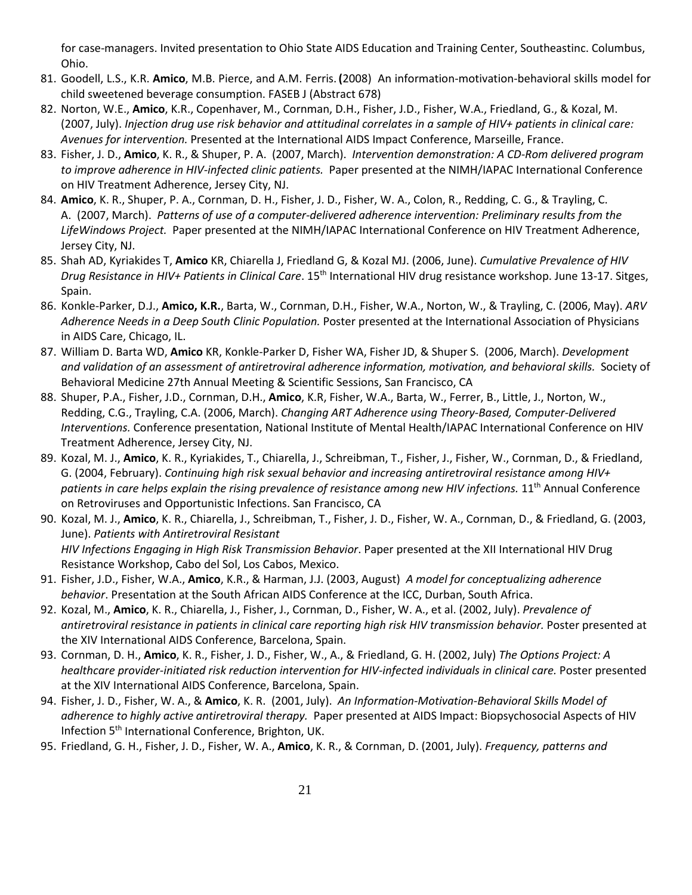for case-managers. Invited presentation to Ohio State AIDS Education and Training Center, Southeastinc. Columbus, Ohio.

- 81. Goodell, L.S., K.R. **Amico**, M.B. Pierce, and A.M. Ferris. **(**2008) An information-motivation-behavioral skills model for child sweetened beverage consumption. FASEB J (Abstract 678)
- 82. Norton, W.E., **Amico**, K.R., Copenhaver, M., Cornman, D.H., Fisher, J.D., Fisher, W.A., Friedland, G., & Kozal, M. (2007, July). *Injection drug use risk behavior and attitudinal correlates in a sample of HIV+ patients in clinical care: Avenues for intervention.* Presented at the International AIDS Impact Conference, Marseille, France.
- 83. Fisher, J. D., **Amico**, K. R., & Shuper, P. A. (2007, March). *Intervention demonstration: A CD-Rom delivered program to improve adherence in HIV-infected clinic patients.* Paper presented at the NIMH/IAPAC International Conference on HIV Treatment Adherence, Jersey City, NJ.
- 84. **Amico**, K. R., Shuper, P. A., Cornman, D. H., Fisher, J. D., Fisher, W. A., Colon, R., Redding, C. G., & Trayling, C. A. (2007, March). *Patterns of use of a computer-delivered adherence intervention: Preliminary results from the LifeWindows Project.* Paper presented at the NIMH/IAPAC International Conference on HIV Treatment Adherence, Jersey City, NJ.
- 85. Shah AD, Kyriakides T, **Amico** KR, Chiarella J, Friedland G, & Kozal MJ. (2006, June). *Cumulative Prevalence of HIV Drug Resistance in HIV+ Patients in Clinical Care*. 15th International HIV drug resistance workshop. June 13-17. Sitges, Spain.
- 86. Konkle-Parker, D.J., **Amico, K.R.**, Barta, W., Cornman, D.H., Fisher, W.A., Norton, W., & Trayling, C. (2006, May). *ARV Adherence Needs in a Deep South Clinic Population.* Poster presented at the International Association of Physicians in AIDS Care, Chicago, IL.
- 87. William D. Barta WD, **Amico** KR, Konkle-Parker D, Fisher WA, Fisher JD, & Shuper S. (2006, March). *Development and validation of an assessment of antiretroviral adherence information, motivation, and behavioral skills.* Society of Behavioral Medicine 27th Annual Meeting & Scientific Sessions, San Francisco, CA
- 88. Shuper, P.A., Fisher, J.D., Cornman, D.H., **Amico**, K.R, Fisher, W.A., Barta, W., Ferrer, B., Little, J., Norton, W., Redding, C.G., Trayling, C.A. (2006, March). *Changing ART Adherence using Theory-Based, Computer-Delivered Interventions.* Conference presentation, National Institute of Mental Health/IAPAC International Conference on HIV Treatment Adherence, Jersey City, NJ.
- 89. Kozal, M. J., **Amico**, K. R., Kyriakides, T., Chiarella, J., Schreibman, T., Fisher, J., Fisher, W., Cornman, D., & Friedland, G. (2004, February). *Continuing high risk sexual behavior and increasing antiretroviral resistance among HIV+*  patients in care helps explain the rising prevalence of resistance among new HIV infections. 11<sup>th</sup> Annual Conference on Retroviruses and Opportunistic Infections. San Francisco, CA
- 90. Kozal, M. J., **Amico**, K. R., Chiarella, J., Schreibman, T., Fisher, J. D., Fisher, W. A., Cornman, D., & Friedland, G. (2003, June). *Patients with Antiretroviral Resistant HIV Infections Engaging in High Risk Transmission Behavior*. Paper presented at the XII International HIV Drug Resistance Workshop, Cabo del Sol, Los Cabos, Mexico.
- 91. Fisher, J.D., Fisher, W.A., **Amico**, K.R., & Harman, J.J. (2003, August) *A model for conceptualizing adherence behavior*. Presentation at the South African AIDS Conference at the ICC, Durban, South Africa.
- 92. Kozal, M., **Amico**, K. R., Chiarella, J., Fisher, J., Cornman, D., Fisher, W. A., et al. (2002, July). *Prevalence of antiretroviral resistance in patients in clinical care reporting high risk HIV transmission behavior.* Poster presented at the XIV International AIDS Conference, Barcelona, Spain.
- 93. Cornman, D. H., **Amico**, K. R., Fisher, J. D., Fisher, W., A., & Friedland, G. H. (2002, July) *The Options Project: A healthcare provider-initiated risk reduction intervention for HIV-infected individuals in clinical care.* Poster presented at the XIV International AIDS Conference, Barcelona, Spain.
- 94. Fisher, J. D., Fisher, W. A., & **Amico**, K. R. (2001, July). *An Information-Motivation-Behavioral Skills Model of adherence to highly active antiretroviral therapy.* Paper presented at AIDS Impact: Biopsychosocial Aspects of HIV Infection 5<sup>th</sup> International Conference, Brighton, UK.
- 95. Friedland, G. H., Fisher, J. D., Fisher, W. A., **Amico**, K. R., & Cornman, D. (2001, July). *Frequency, patterns and*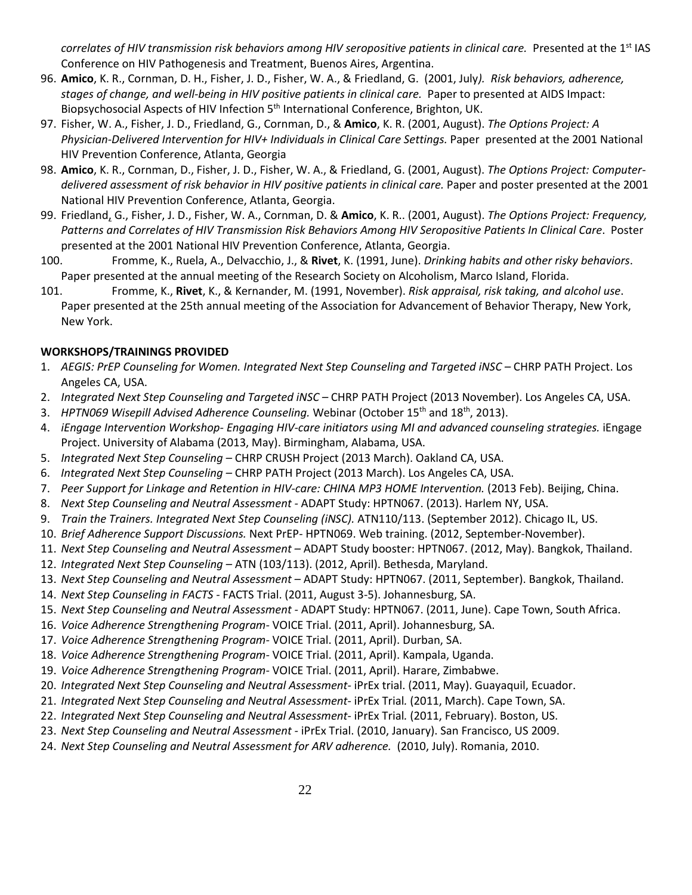*correlates of HIV transmission risk behaviors among HIV seropositive patients in clinical care.* Presented at the 1<sup>st</sup> IAS Conference on HIV Pathogenesis and Treatment, Buenos Aires, Argentina.

- 96. **Amico**, K. R., Cornman, D. H., Fisher, J. D., Fisher, W. A., & Friedland, G. (2001, July*). Risk behaviors, adherence, stages of change, and well-being in HIV positive patients in clinical care.* Paper to presented at AIDS Impact: Biopsychosocial Aspects of HIV Infection 5<sup>th</sup> International Conference, Brighton, UK.
- 97. Fisher, W. A., Fisher, J. D., Friedland, G., Cornman, D., & **Amico**, K. R. (2001, August). *The Options Project: A Physician-Delivered Intervention for HIV+ Individuals in Clinical Care Settings.* Paper presented at the 2001 National HIV Prevention Conference, Atlanta, Georgia
- 98. **Amico**, K. R., Cornman, D., Fisher, J. D., Fisher, W. A., & Friedland, G. (2001, August). *The Options Project: Computerdelivered assessment of risk behavior in HIV positive patients in clinical care.* Paper and poster presented at the 2001 National HIV Prevention Conference, Atlanta, Georgia.
- 99. Friedland, G., Fisher, J. D., Fisher, W. A., Cornman, D. & **Amico**, K. R.. (2001, August). *The Options Project: Frequency, Patterns and Correlates of HIV Transmission Risk Behaviors Among HIV Seropositive Patients In Clinical Care*. Poster presented at the 2001 National HIV Prevention Conference, Atlanta, Georgia.
- 100. Fromme, K., Ruela, A., Delvacchio, J., & **Rivet**, K. (1991, June). *Drinking habits and other risky behaviors*. Paper presented at the annual meeting of the Research Society on Alcoholism, Marco Island, Florida.
- 101. Fromme, K., **Rivet**, K., & Kernander, M. (1991, November). *Risk appraisal, risk taking, and alcohol use*. Paper presented at the 25th annual meeting of the Association for Advancement of Behavior Therapy, New York, New York.

# **WORKSHOPS/TRAININGS PROVIDED**

- 1. *AEGIS: PrEP Counseling for Women. Integrated Next Step Counseling and Targeted iNSC –* CHRP PATH Project. Los Angeles CA, USA.
- 2. *Integrated Next Step Counseling and Targeted iNSC –* CHRP PATH Project (2013 November). Los Angeles CA, USA.
- 3. *HPTN069 Wisepill Advised Adherence Counseling.* Webinar (October 15th and 18th, 2013).
- 4. *iEngage Intervention Workshop- Engaging HIV-care initiators using MI and advanced counseling strategies.* iEngage Project. University of Alabama (2013, May). Birmingham, Alabama, USA.
- 5. *Integrated Next Step Counseling –* CHRP CRUSH Project (2013 March). Oakland CA, USA.
- 6. *Integrated Next Step Counseling –* CHRP PATH Project (2013 March). Los Angeles CA, USA.
- 7. *Peer Support for Linkage and Retention in HIV-care: CHINA MP3 HOME Intervention.* (2013 Feb). Beijing, China.
- 8. *Next Step Counseling and Neutral Assessment -* ADAPT Study: HPTN067. (2013). Harlem NY, USA.
- 9. *Train the Trainers. Integrated Next Step Counseling (iNSC).* ATN110/113. (September 2012). Chicago IL, US.
- 10. *Brief Adherence Support Discussions.* Next PrEP- HPTN069. Web training. (2012, September-November).
- 11. *Next Step Counseling and Neutral Assessment –* ADAPT Study booster: HPTN067. (2012, May). Bangkok, Thailand.
- 12. *Integrated Next Step Counseling –* ATN (103/113). (2012, April). Bethesda, Maryland.
- 13. *Next Step Counseling and Neutral Assessment –* ADAPT Study: HPTN067. (2011, September). Bangkok, Thailand.
- 14. *Next Step Counseling in FACTS -* FACTS Trial. (2011, August 3-5). Johannesburg, SA.
- 15. *Next Step Counseling and Neutral Assessment -* ADAPT Study: HPTN067. (2011, June). Cape Town, South Africa.
- 16. *Voice Adherence Strengthening Program-* VOICE Trial. (2011, April). Johannesburg, SA.
- 17. *Voice Adherence Strengthening Program-* VOICE Trial. (2011, April). Durban, SA.
- 18. *Voice Adherence Strengthening Program-* VOICE Trial. (2011, April). Kampala, Uganda.
- 19. *Voice Adherence Strengthening Program-* VOICE Trial. (2011, April). Harare, Zimbabwe.
- 20. *Integrated Next Step Counseling and Neutral Assessment-* iPrEx trial. (2011, May). Guayaquil, Ecuador.
- 21. *Integrated Next Step Counseling and Neutral Assessment* iPrEx Trial*.* (2011, March). Cape Town, SA.
- 22. *Integrated Next Step Counseling and Neutral Assessment* iPrEx Trial*.* (2011, February). Boston, US.
- 23. *Next Step Counseling and Neutral Assessment -* iPrEx Trial. (2010, January). San Francisco, US 2009.
- 24. *Next Step Counseling and Neutral Assessment for ARV adherence.* (2010, July). Romania, 2010.